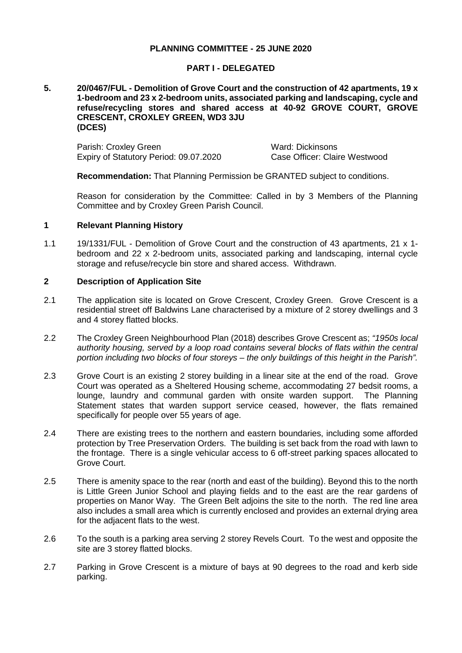## **PLANNING COMMITTEE - 25 JUNE 2020**

### **PART I - DELEGATED**

### **5. 20/0467/FUL - Demolition of Grove Court and the construction of 42 apartments, 19 x 1-bedroom and 23 x 2-bedroom units, associated parking and landscaping, cycle and refuse/recycling stores and shared access at 40-92 GROVE COURT, GROVE CRESCENT, CROXLEY GREEN, WD3 3JU (DCES)**

Parish: Croxley Green Ward: Dickinsons Expiry of Statutory Period: 09.07.2020 Case Officer: Claire Westwood

**Recommendation:** That Planning Permission be GRANTED subject to conditions.

Reason for consideration by the Committee: Called in by 3 Members of the Planning Committee and by Croxley Green Parish Council.

### **1 Relevant Planning History**

1.1 19/1331/FUL - Demolition of Grove Court and the construction of 43 apartments, 21 x 1 bedroom and 22 x 2-bedroom units, associated parking and landscaping, internal cycle storage and refuse/recycle bin store and shared access. Withdrawn.

### **2 Description of Application Site**

- 2.1 The application site is located on Grove Crescent, Croxley Green. Grove Crescent is a residential street off Baldwins Lane characterised by a mixture of 2 storey dwellings and 3 and 4 storey flatted blocks.
- 2.2 The Croxley Green Neighbourhood Plan (2018) describes Grove Crescent as; *"1950s local authority housing, served by a loop road contains several blocks of flats within the central portion including two blocks of four storeys – the only buildings of this height in the Parish".*
- 2.3 Grove Court is an existing 2 storey building in a linear site at the end of the road. Grove Court was operated as a Sheltered Housing scheme, accommodating 27 bedsit rooms, a lounge, laundry and communal garden with onsite warden support. The Planning Statement states that warden support service ceased, however, the flats remained specifically for people over 55 years of age.
- 2.4 There are existing trees to the northern and eastern boundaries, including some afforded protection by Tree Preservation Orders. The building is set back from the road with lawn to the frontage. There is a single vehicular access to 6 off-street parking spaces allocated to Grove Court.
- 2.5 There is amenity space to the rear (north and east of the building). Beyond this to the north is Little Green Junior School and playing fields and to the east are the rear gardens of properties on Manor Way. The Green Belt adjoins the site to the north. The red line area also includes a small area which is currently enclosed and provides an external drying area for the adjacent flats to the west.
- 2.6 To the south is a parking area serving 2 storey Revels Court. To the west and opposite the site are 3 storey flatted blocks.
- 2.7 Parking in Grove Crescent is a mixture of bays at 90 degrees to the road and kerb side parking.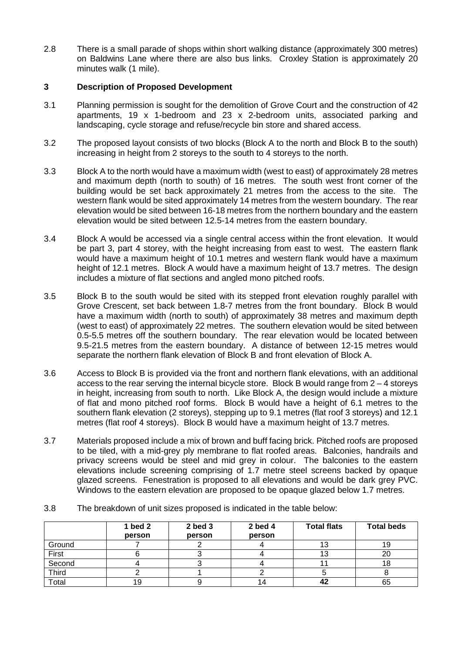2.8 There is a small parade of shops within short walking distance (approximately 300 metres) on Baldwins Lane where there are also bus links. Croxley Station is approximately 20 minutes walk (1 mile).

# **3 Description of Proposed Development**

- 3.1 Planning permission is sought for the demolition of Grove Court and the construction of 42 apartments, 19 x 1-bedroom and 23 x 2-bedroom units, associated parking and landscaping, cycle storage and refuse/recycle bin store and shared access.
- 3.2 The proposed layout consists of two blocks (Block A to the north and Block B to the south) increasing in height from 2 storeys to the south to 4 storeys to the north.
- 3.3 Block A to the north would have a maximum width (west to east) of approximately 28 metres and maximum depth (north to south) of 16 metres. The south west front corner of the building would be set back approximately 21 metres from the access to the site. The western flank would be sited approximately 14 metres from the western boundary. The rear elevation would be sited between 16-18 metres from the northern boundary and the eastern elevation would be sited between 12.5-14 metres from the eastern boundary.
- 3.4 Block A would be accessed via a single central access within the front elevation. It would be part 3, part 4 storey, with the height increasing from east to west. The eastern flank would have a maximum height of 10.1 metres and western flank would have a maximum height of 12.1 metres. Block A would have a maximum height of 13.7 metres. The design includes a mixture of flat sections and angled mono pitched roofs.
- 3.5 Block B to the south would be sited with its stepped front elevation roughly parallel with Grove Crescent, set back between 1.8-7 metres from the front boundary. Block B would have a maximum width (north to south) of approximately 38 metres and maximum depth (west to east) of approximately 22 metres. The southern elevation would be sited between 0.5-5.5 metres off the southern boundary. The rear elevation would be located between 9.5-21.5 metres from the eastern boundary. A distance of between 12-15 metres would separate the northern flank elevation of Block B and front elevation of Block A.
- 3.6 Access to Block B is provided via the front and northern flank elevations, with an additional access to the rear serving the internal bicycle store. Block B would range from 2 – 4 storeys in height, increasing from south to north. Like Block A, the design would include a mixture of flat and mono pitched roof forms. Block B would have a height of 6.1 metres to the southern flank elevation (2 storeys), stepping up to 9.1 metres (flat roof 3 storeys) and 12.1 metres (flat roof 4 storeys). Block B would have a maximum height of 13.7 metres.
- 3.7 Materials proposed include a mix of brown and buff facing brick. Pitched roofs are proposed to be tiled, with a mid-grey ply membrane to flat roofed areas. Balconies, handrails and privacy screens would be steel and mid grey in colour. The balconies to the eastern elevations include screening comprising of 1.7 metre steel screens backed by opaque glazed screens. Fenestration is proposed to all elevations and would be dark grey PVC. Windows to the eastern elevation are proposed to be opaque glazed below 1.7 metres.
- **1 bed 2 person 2 bed 3 person 2 bed 4 person Total flats Total beds** Ground | 7 | 2 | 4 | 13 | 19 First 6 3 4 13 20 Second | 4 | 3 | 4 | 11 | 18 Third | 2 | 1 | 2 | 5 | 8 Total 19 9 14 **42** 65
- 3.8 The breakdown of unit sizes proposed is indicated in the table below: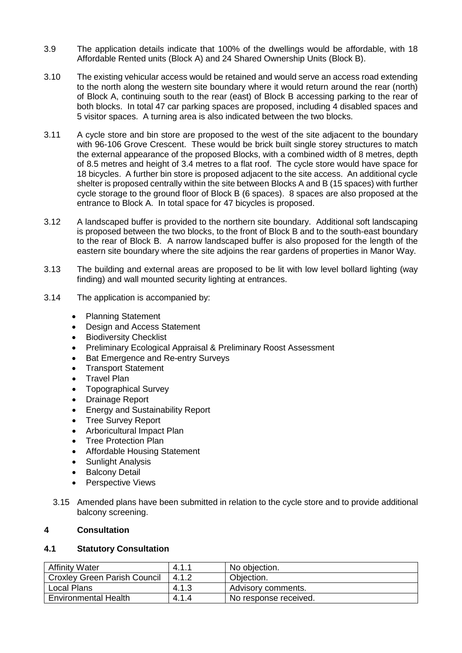- 3.9 The application details indicate that 100% of the dwellings would be affordable, with 18 Affordable Rented units (Block A) and 24 Shared Ownership Units (Block B).
- 3.10 The existing vehicular access would be retained and would serve an access road extending to the north along the western site boundary where it would return around the rear (north) of Block A, continuing south to the rear (east) of Block B accessing parking to the rear of both blocks. In total 47 car parking spaces are proposed, including 4 disabled spaces and 5 visitor spaces. A turning area is also indicated between the two blocks.
- 3.11 A cycle store and bin store are proposed to the west of the site adjacent to the boundary with 96-106 Grove Crescent. These would be brick built single storey structures to match the external appearance of the proposed Blocks, with a combined width of 8 metres, depth of 8.5 metres and height of 3.4 metres to a flat roof. The cycle store would have space for 18 bicycles. A further bin store is proposed adjacent to the site access. An additional cycle shelter is proposed centrally within the site between Blocks A and B (15 spaces) with further cycle storage to the ground floor of Block B (6 spaces). 8 spaces are also proposed at the entrance to Block A. In total space for 47 bicycles is proposed.
- 3.12 A landscaped buffer is provided to the northern site boundary. Additional soft landscaping is proposed between the two blocks, to the front of Block B and to the south-east boundary to the rear of Block B. A narrow landscaped buffer is also proposed for the length of the eastern site boundary where the site adjoins the rear gardens of properties in Manor Way.
- 3.13 The building and external areas are proposed to be lit with low level bollard lighting (way finding) and wall mounted security lighting at entrances.
- 3.14 The application is accompanied by:
	- Planning Statement
	- Design and Access Statement
	- **Biodiversity Checklist**
	- Preliminary Ecological Appraisal & Preliminary Roost Assessment
	- Bat Emergence and Re-entry Surveys
	- Transport Statement
	- Travel Plan
	- Topographical Survey
	- Drainage Report
	- Energy and Sustainability Report
	- Tree Survey Report
	- Arboricultural Impact Plan
	- Tree Protection Plan
	- Affordable Housing Statement
	- Sunlight Analysis
	- **Balcony Detail**
	- Perspective Views
	- 3.15 Amended plans have been submitted in relation to the cycle store and to provide additional balcony screening.

# **4 Consultation**

# **4.1 Statutory Consultation**

| <b>Affinity Water</b>        | 4.1.1 | No objection.         |
|------------------------------|-------|-----------------------|
| Croxley Green Parish Council | 4.1.2 | Objection.            |
| Local Plans                  | 4.1.3 | Advisory comments.    |
| <b>Environmental Health</b>  | 4.1.4 | No response received. |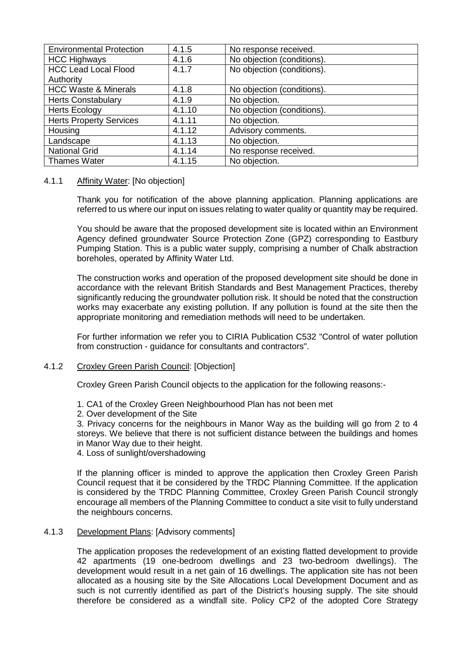| <b>Environmental Protection</b> | 4.1.5  | No response received.      |
|---------------------------------|--------|----------------------------|
| <b>HCC Highways</b>             | 4.1.6  | No objection (conditions). |
| <b>HCC Lead Local Flood</b>     | 4.1.7  | No objection (conditions). |
| Authority                       |        |                            |
| <b>HCC Waste &amp; Minerals</b> | 4.1.8  | No objection (conditions). |
| <b>Herts Constabulary</b>       | 4.1.9  | No objection.              |
| <b>Herts Ecology</b>            | 4.1.10 | No objection (conditions). |
| <b>Herts Property Services</b>  | 4.1.11 | No objection.              |
| Housing                         | 4.1.12 | Advisory comments.         |
| Landscape                       | 4.1.13 | No objection.              |
| <b>National Grid</b>            | 4.1.14 | No response received.      |
| <b>Thames Water</b>             | 4.1.15 | No objection.              |

# 4.1.1 Affinity Water: [No objection]

Thank you for notification of the above planning application. Planning applications are referred to us where our input on issues relating to water quality or quantity may be required.

You should be aware that the proposed development site is located within an Environment Agency defined groundwater Source Protection Zone (GPZ) corresponding to Eastbury Pumping Station. This is a public water supply, comprising a number of Chalk abstraction boreholes, operated by Affinity Water Ltd.

The construction works and operation of the proposed development site should be done in accordance with the relevant British Standards and Best Management Practices, thereby significantly reducing the groundwater pollution risk. It should be noted that the construction works may exacerbate any existing pollution. If any pollution is found at the site then the appropriate monitoring and remediation methods will need to be undertaken.

For further information we refer you to CIRIA Publication C532 "Control of water pollution from construction - guidance for consultants and contractors".

### 4.1.2 Croxley Green Parish Council: [Objection]

Croxley Green Parish Council objects to the application for the following reasons:-

- 1. CA1 of the Croxley Green Neighbourhood Plan has not been met
- 2. Over development of the Site

3. Privacy concerns for the neighbours in Manor Way as the building will go from 2 to 4 storeys. We believe that there is not sufficient distance between the buildings and homes in Manor Way due to their height.

4. Loss of sunlight/overshadowing

If the planning officer is minded to approve the application then Croxley Green Parish Council request that it be considered by the TRDC Planning Committee. If the application is considered by the TRDC Planning Committee, Croxley Green Parish Council strongly encourage all members of the Planning Committee to conduct a site visit to fully understand the neighbours concerns.

### 4.1.3 Development Plans: [Advisory comments]

The application proposes the redevelopment of an existing flatted development to provide 42 apartments (19 one-bedroom dwellings and 23 two-bedroom dwellings). The development would result in a net gain of 16 dwellings. The application site has not been allocated as a housing site by the Site Allocations Local Development Document and as such is not currently identified as part of the District's housing supply. The site should therefore be considered as a windfall site. Policy CP2 of the adopted Core Strategy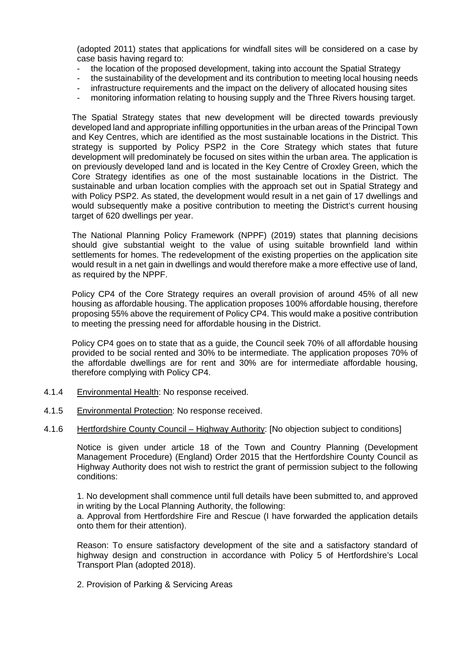(adopted 2011) states that applications for windfall sites will be considered on a case by case basis having regard to:

- the location of the proposed development, taking into account the Spatial Strategy
- the sustainability of the development and its contribution to meeting local housing needs
- infrastructure requirements and the impact on the delivery of allocated housing sites
- monitoring information relating to housing supply and the Three Rivers housing target.

The Spatial Strategy states that new development will be directed towards previously developed land and appropriate infilling opportunities in the urban areas of the Principal Town and Key Centres, which are identified as the most sustainable locations in the District. This strategy is supported by Policy PSP2 in the Core Strategy which states that future development will predominately be focused on sites within the urban area. The application is on previously developed land and is located in the Key Centre of Croxley Green, which the Core Strategy identifies as one of the most sustainable locations in the District. The sustainable and urban location complies with the approach set out in Spatial Strategy and with Policy PSP2. As stated, the development would result in a net gain of 17 dwellings and would subsequently make a positive contribution to meeting the District's current housing target of 620 dwellings per year.

The National Planning Policy Framework (NPPF) (2019) states that planning decisions should give substantial weight to the value of using suitable brownfield land within settlements for homes. The redevelopment of the existing properties on the application site would result in a net gain in dwellings and would therefore make a more effective use of land, as required by the NPPF.

Policy CP4 of the Core Strategy requires an overall provision of around 45% of all new housing as affordable housing. The application proposes 100% affordable housing, therefore proposing 55% above the requirement of Policy CP4. This would make a positive contribution to meeting the pressing need for affordable housing in the District.

Policy CP4 goes on to state that as a guide, the Council seek 70% of all affordable housing provided to be social rented and 30% to be intermediate. The application proposes 70% of the affordable dwellings are for rent and 30% are for intermediate affordable housing, therefore complying with Policy CP4.

- 4.1.4 Environmental Health: No response received.
- 4.1.5 Environmental Protection: No response received.
- 4.1.6 Hertfordshire County Council Highway Authority: [No objection subject to conditions]

Notice is given under article 18 of the Town and Country Planning (Development Management Procedure) (England) Order 2015 that the Hertfordshire County Council as Highway Authority does not wish to restrict the grant of permission subject to the following conditions:

1. No development shall commence until full details have been submitted to, and approved in writing by the Local Planning Authority, the following:

a. Approval from Hertfordshire Fire and Rescue (I have forwarded the application details onto them for their attention).

Reason: To ensure satisfactory development of the site and a satisfactory standard of highway design and construction in accordance with Policy 5 of Hertfordshire's Local Transport Plan (adopted 2018).

2. Provision of Parking & Servicing Areas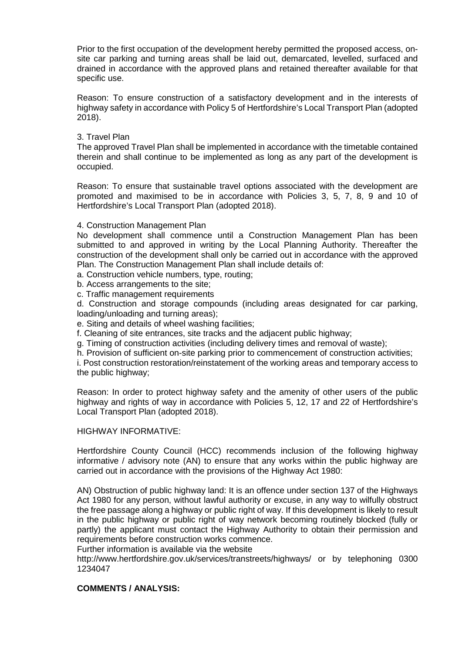Prior to the first occupation of the development hereby permitted the proposed access, onsite car parking and turning areas shall be laid out, demarcated, levelled, surfaced and drained in accordance with the approved plans and retained thereafter available for that specific use.

Reason: To ensure construction of a satisfactory development and in the interests of highway safety in accordance with Policy 5 of Hertfordshire's Local Transport Plan (adopted 2018).

## 3. Travel Plan

The approved Travel Plan shall be implemented in accordance with the timetable contained therein and shall continue to be implemented as long as any part of the development is occupied.

Reason: To ensure that sustainable travel options associated with the development are promoted and maximised to be in accordance with Policies 3, 5, 7, 8, 9 and 10 of Hertfordshire's Local Transport Plan (adopted 2018).

## 4. Construction Management Plan

No development shall commence until a Construction Management Plan has been submitted to and approved in writing by the Local Planning Authority. Thereafter the construction of the development shall only be carried out in accordance with the approved Plan. The Construction Management Plan shall include details of:

a. Construction vehicle numbers, type, routing;

- b. Access arrangements to the site;
- c. Traffic management requirements

d. Construction and storage compounds (including areas designated for car parking, loading/unloading and turning areas);

e. Siting and details of wheel washing facilities;

f. Cleaning of site entrances, site tracks and the adjacent public highway;

g. Timing of construction activities (including delivery times and removal of waste);

h. Provision of sufficient on-site parking prior to commencement of construction activities;

i. Post construction restoration/reinstatement of the working areas and temporary access to the public highway;

Reason: In order to protect highway safety and the amenity of other users of the public highway and rights of way in accordance with Policies 5, 12, 17 and 22 of Hertfordshire's Local Transport Plan (adopted 2018).

### HIGHWAY INFORMATIVE:

Hertfordshire County Council (HCC) recommends inclusion of the following highway informative / advisory note (AN) to ensure that any works within the public highway are carried out in accordance with the provisions of the Highway Act 1980:

AN) Obstruction of public highway land: It is an offence under section 137 of the Highways Act 1980 for any person, without lawful authority or excuse, in any way to wilfully obstruct the free passage along a highway or public right of way. If this development is likely to result in the public highway or public right of way network becoming routinely blocked (fully or partly) the applicant must contact the Highway Authority to obtain their permission and requirements before construction works commence.

Further information is available via the website

http://www.hertfordshire.gov.uk/services/transtreets/highways/ or by telephoning 0300 1234047

### **COMMENTS / ANALYSIS:**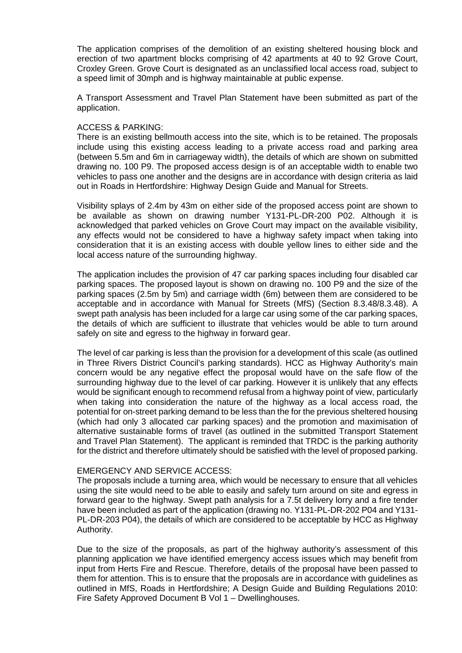The application comprises of the demolition of an existing sheltered housing block and erection of two apartment blocks comprising of 42 apartments at 40 to 92 Grove Court, Croxley Green. Grove Court is designated as an unclassified local access road, subject to a speed limit of 30mph and is highway maintainable at public expense.

A Transport Assessment and Travel Plan Statement have been submitted as part of the application.

### ACCESS & PARKING:

There is an existing bellmouth access into the site, which is to be retained. The proposals include using this existing access leading to a private access road and parking area (between 5.5m and 6m in carriageway width), the details of which are shown on submitted drawing no. 100 P9. The proposed access design is of an acceptable width to enable two vehicles to pass one another and the designs are in accordance with design criteria as laid out in Roads in Hertfordshire: Highway Design Guide and Manual for Streets.

Visibility splays of 2.4m by 43m on either side of the proposed access point are shown to be available as shown on drawing number Y131-PL-DR-200 P02. Although it is acknowledged that parked vehicles on Grove Court may impact on the available visibility, any effects would not be considered to have a highway safety impact when taking into consideration that it is an existing access with double yellow lines to either side and the local access nature of the surrounding highway.

The application includes the provision of 47 car parking spaces including four disabled car parking spaces. The proposed layout is shown on drawing no. 100 P9 and the size of the parking spaces (2.5m by 5m) and carriage width (6m) between them are considered to be acceptable and in accordance with Manual for Streets (MfS) (Section 8.3.48/8.3.48). A swept path analysis has been included for a large car using some of the car parking spaces, the details of which are sufficient to illustrate that vehicles would be able to turn around safely on site and egress to the highway in forward gear.

The level of car parking is less than the provision for a development of this scale (as outlined in Three Rivers District Council's parking standards). HCC as Highway Authority's main concern would be any negative effect the proposal would have on the safe flow of the surrounding highway due to the level of car parking. However it is unlikely that any effects would be significant enough to recommend refusal from a highway point of view, particularly when taking into consideration the nature of the highway as a local access road, the potential for on-street parking demand to be less than the for the previous sheltered housing (which had only 3 allocated car parking spaces) and the promotion and maximisation of alternative sustainable forms of travel (as outlined in the submitted Transport Statement and Travel Plan Statement). The applicant is reminded that TRDC is the parking authority for the district and therefore ultimately should be satisfied with the level of proposed parking.

### EMERGENCY AND SERVICE ACCESS:

The proposals include a turning area, which would be necessary to ensure that all vehicles using the site would need to be able to easily and safely turn around on site and egress in forward gear to the highway. Swept path analysis for a 7.5t delivery lorry and a fire tender have been included as part of the application (drawing no. Y131-PL-DR-202 P04 and Y131- PL-DR-203 P04), the details of which are considered to be acceptable by HCC as Highway Authority.

Due to the size of the proposals, as part of the highway authority's assessment of this planning application we have identified emergency access issues which may benefit from input from Herts Fire and Rescue. Therefore, details of the proposal have been passed to them for attention. This is to ensure that the proposals are in accordance with guidelines as outlined in MfS, Roads in Hertfordshire; A Design Guide and Building Regulations 2010: Fire Safety Approved Document B Vol 1 – Dwellinghouses.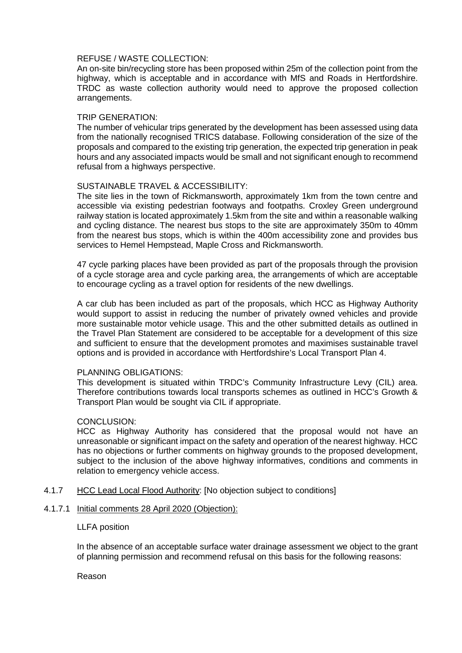## REFUSE / WASTE COLLECTION:

An on-site bin/recycling store has been proposed within 25m of the collection point from the highway, which is acceptable and in accordance with MfS and Roads in Hertfordshire. TRDC as waste collection authority would need to approve the proposed collection arrangements.

# TRIP GENERATION:

The number of vehicular trips generated by the development has been assessed using data from the nationally recognised TRICS database. Following consideration of the size of the proposals and compared to the existing trip generation, the expected trip generation in peak hours and any associated impacts would be small and not significant enough to recommend refusal from a highways perspective.

# SUSTAINABLE TRAVEL & ACCESSIBILITY:

The site lies in the town of Rickmansworth, approximately 1km from the town centre and accessible via existing pedestrian footways and footpaths. Croxley Green underground railway station is located approximately 1.5km from the site and within a reasonable walking and cycling distance. The nearest bus stops to the site are approximately 350m to 40mm from the nearest bus stops, which is within the 400m accessibility zone and provides bus services to Hemel Hempstead, Maple Cross and Rickmansworth.

47 cycle parking places have been provided as part of the proposals through the provision of a cycle storage area and cycle parking area, the arrangements of which are acceptable to encourage cycling as a travel option for residents of the new dwellings.

A car club has been included as part of the proposals, which HCC as Highway Authority would support to assist in reducing the number of privately owned vehicles and provide more sustainable motor vehicle usage. This and the other submitted details as outlined in the Travel Plan Statement are considered to be acceptable for a development of this size and sufficient to ensure that the development promotes and maximises sustainable travel options and is provided in accordance with Hertfordshire's Local Transport Plan 4.

# PLANNING OBLIGATIONS:

This development is situated within TRDC's Community Infrastructure Levy (CIL) area. Therefore contributions towards local transports schemes as outlined in HCC's Growth & Transport Plan would be sought via CIL if appropriate.

# CONCLUSION:

HCC as Highway Authority has considered that the proposal would not have an unreasonable or significant impact on the safety and operation of the nearest highway. HCC has no objections or further comments on highway grounds to the proposed development, subject to the inclusion of the above highway informatives, conditions and comments in relation to emergency vehicle access.

4.1.7 HCC Lead Local Flood Authority: [No objection subject to conditions]

# 4.1.7.1 Initial comments 28 April 2020 (Objection):

### LLFA position

In the absence of an acceptable surface water drainage assessment we object to the grant of planning permission and recommend refusal on this basis for the following reasons:

### Reason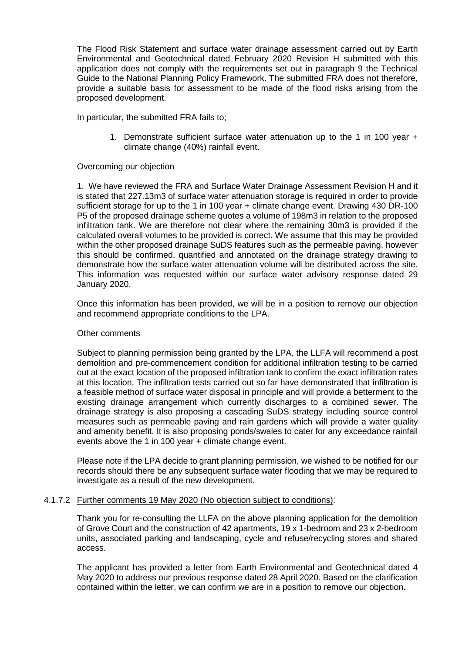The Flood Risk Statement and surface water drainage assessment carried out by Earth Environmental and Geotechnical dated February 2020 Revision H submitted with this application does not comply with the requirements set out in paragraph 9 the Technical Guide to the National Planning Policy Framework. The submitted FRA does not therefore, provide a suitable basis for assessment to be made of the flood risks arising from the proposed development.

In particular, the submitted FRA fails to;

1. Demonstrate sufficient surface water attenuation up to the 1 in 100 year + climate change (40%) rainfall event.

## Overcoming our objection

1. We have reviewed the FRA and Surface Water Drainage Assessment Revision H and it is stated that 227.13m3 of surface water attenuation storage is required in order to provide sufficient storage for up to the 1 in 100 year + climate change event. Drawing 430 DR-100 P5 of the proposed drainage scheme quotes a volume of 198m3 in relation to the proposed infiltration tank. We are therefore not clear where the remaining 30m3 is provided if the calculated overall volumes to be provided is correct. We assume that this may be provided within the other proposed drainage SuDS features such as the permeable paving, however this should be confirmed, quantified and annotated on the drainage strategy drawing to demonstrate how the surface water attenuation volume will be distributed across the site. This information was requested within our surface water advisory response dated 29 January 2020.

Once this information has been provided, we will be in a position to remove our objection and recommend appropriate conditions to the LPA.

### Other comments

Subject to planning permission being granted by the LPA, the LLFA will recommend a post demolition and pre-commencement condition for additional infiltration testing to be carried out at the exact location of the proposed infiltration tank to confirm the exact infiltration rates at this location. The infiltration tests carried out so far have demonstrated that infiltration is a feasible method of surface water disposal in principle and will provide a betterment to the existing drainage arrangement which currently discharges to a combined sewer. The drainage strategy is also proposing a cascading SuDS strategy including source control measures such as permeable paving and rain gardens which will provide a water quality and amenity benefit. It is also proposing ponds/swales to cater for any exceedance rainfall events above the 1 in 100 year + climate change event.

Please note if the LPA decide to grant planning permission, we wished to be notified for our records should there be any subsequent surface water flooding that we may be required to investigate as a result of the new development.

### 4.1.7.2 Further comments 19 May 2020 (No objection subject to conditions):

Thank you for re-consulting the LLFA on the above planning application for the demolition of Grove Court and the construction of 42 apartments, 19 x 1-bedroom and 23 x 2-bedroom units, associated parking and landscaping, cycle and refuse/recycling stores and shared access.

The applicant has provided a letter from Earth Environmental and Geotechnical dated 4 May 2020 to address our previous response dated 28 April 2020. Based on the clarification contained within the letter, we can confirm we are in a position to remove our objection.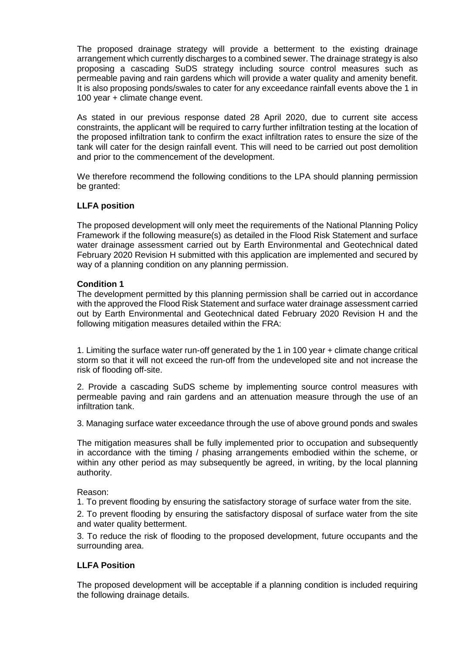The proposed drainage strategy will provide a betterment to the existing drainage arrangement which currently discharges to a combined sewer. The drainage strategy is also proposing a cascading SuDS strategy including source control measures such as permeable paving and rain gardens which will provide a water quality and amenity benefit. It is also proposing ponds/swales to cater for any exceedance rainfall events above the 1 in 100 year + climate change event.

As stated in our previous response dated 28 April 2020, due to current site access constraints, the applicant will be required to carry further infiltration testing at the location of the proposed infiltration tank to confirm the exact infiltration rates to ensure the size of the tank will cater for the design rainfall event. This will need to be carried out post demolition and prior to the commencement of the development.

We therefore recommend the following conditions to the LPA should planning permission be granted:

# **LLFA position**

The proposed development will only meet the requirements of the National Planning Policy Framework if the following measure(s) as detailed in the Flood Risk Statement and surface water drainage assessment carried out by Earth Environmental and Geotechnical dated February 2020 Revision H submitted with this application are implemented and secured by way of a planning condition on any planning permission.

# **Condition 1**

The development permitted by this planning permission shall be carried out in accordance with the approved the Flood Risk Statement and surface water drainage assessment carried out by Earth Environmental and Geotechnical dated February 2020 Revision H and the following mitigation measures detailed within the FRA:

1. Limiting the surface water run-off generated by the 1 in 100 year + climate change critical storm so that it will not exceed the run-off from the undeveloped site and not increase the risk of flooding off-site.

2. Provide a cascading SuDS scheme by implementing source control measures with permeable paving and rain gardens and an attenuation measure through the use of an infiltration tank.

3. Managing surface water exceedance through the use of above ground ponds and swales

The mitigation measures shall be fully implemented prior to occupation and subsequently in accordance with the timing / phasing arrangements embodied within the scheme, or within any other period as may subsequently be agreed, in writing, by the local planning authority.

Reason:

1. To prevent flooding by ensuring the satisfactory storage of surface water from the site.

2. To prevent flooding by ensuring the satisfactory disposal of surface water from the site and water quality betterment.

3. To reduce the risk of flooding to the proposed development, future occupants and the surrounding area.

# **LLFA Position**

The proposed development will be acceptable if a planning condition is included requiring the following drainage details.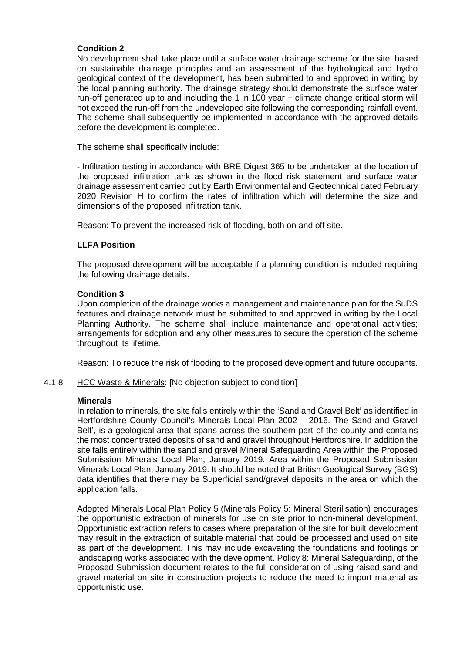# **Condition 2**

No development shall take place until a surface water drainage scheme for the site, based on sustainable drainage principles and an assessment of the hydrological and hydro geological context of the development, has been submitted to and approved in writing by the local planning authority. The drainage strategy should demonstrate the surface water run-off generated up to and including the 1 in 100 year + climate change critical storm will not exceed the run-off from the undeveloped site following the corresponding rainfall event. The scheme shall subsequently be implemented in accordance with the approved details before the development is completed.

The scheme shall specifically include:

- Infiltration testing in accordance with BRE Digest 365 to be undertaken at the location of the proposed infiltration tank as shown in the flood risk statement and surface water drainage assessment carried out by Earth Environmental and Geotechnical dated February 2020 Revision H to confirm the rates of infiltration which will determine the size and dimensions of the proposed infiltration tank.

Reason: To prevent the increased risk of flooding, both on and off site.

## **LLFA Position**

The proposed development will be acceptable if a planning condition is included requiring the following drainage details.

## **Condition 3**

Upon completion of the drainage works a management and maintenance plan for the SuDS features and drainage network must be submitted to and approved in writing by the Local Planning Authority. The scheme shall include maintenance and operational activities; arrangements for adoption and any other measures to secure the operation of the scheme throughout its lifetime.

Reason: To reduce the risk of flooding to the proposed development and future occupants.

# 4.1.8 HCC Waste & Minerals: [No objection subject to condition]

### **Minerals**

In relation to minerals, the site falls entirely within the 'Sand and Gravel Belt' as identified in Hertfordshire County Council's Minerals Local Plan 2002 – 2016. The Sand and Gravel Belt', is a geological area that spans across the southern part of the county and contains the most concentrated deposits of sand and gravel throughout Hertfordshire. In addition the site falls entirely within the sand and gravel Mineral Safeguarding Area within the Proposed Submission Minerals Local Plan, January 2019. Area within the Proposed Submission Minerals Local Plan, January 2019. It should be noted that British Geological Survey (BGS) data identifies that there may be Superficial sand/gravel deposits in the area on which the application falls.

Adopted Minerals Local Plan Policy 5 (Minerals Policy 5: Mineral Sterilisation) encourages the opportunistic extraction of minerals for use on site prior to non-mineral development. Opportunistic extraction refers to cases where preparation of the site for built development may result in the extraction of suitable material that could be processed and used on site as part of the development. This may include excavating the foundations and footings or landscaping works associated with the development. Policy 8: Mineral Safeguarding, of the Proposed Submission document relates to the full consideration of using raised sand and gravel material on site in construction projects to reduce the need to import material as opportunistic use.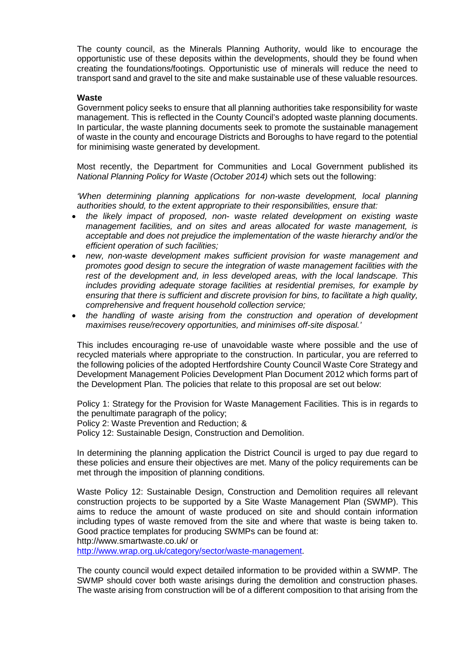The county council, as the Minerals Planning Authority, would like to encourage the opportunistic use of these deposits within the developments, should they be found when creating the foundations/footings. Opportunistic use of minerals will reduce the need to transport sand and gravel to the site and make sustainable use of these valuable resources.

### **Waste**

Government policy seeks to ensure that all planning authorities take responsibility for waste management. This is reflected in the County Council's adopted waste planning documents. In particular, the waste planning documents seek to promote the sustainable management of waste in the county and encourage Districts and Boroughs to have regard to the potential for minimising waste generated by development.

Most recently, the Department for Communities and Local Government published its *National Planning Policy for Waste (October 2014)* which sets out the following:

*'When determining planning applications for non-waste development, local planning authorities should, to the extent appropriate to their responsibilities, ensure that:*

- *the likely impact of proposed, non- waste related development on existing waste management facilities, and on sites and areas allocated for waste management, is acceptable and does not prejudice the implementation of the waste hierarchy and/or the efficient operation of such facilities;*
- *new, non-waste development makes sufficient provision for waste management and promotes good design to secure the integration of waste management facilities with the rest of the development and, in less developed areas, with the local landscape. This includes providing adequate storage facilities at residential premises, for example by ensuring that there is sufficient and discrete provision for bins, to facilitate a high quality, comprehensive and frequent household collection service;*
- *the handling of waste arising from the construction and operation of development maximises reuse/recovery opportunities, and minimises off-site disposal.'*

This includes encouraging re-use of unavoidable waste where possible and the use of recycled materials where appropriate to the construction. In particular, you are referred to the following policies of the adopted Hertfordshire County Council Waste Core Strategy and Development Management Policies Development Plan Document 2012 which forms part of the Development Plan. The policies that relate to this proposal are set out below:

Policy 1: Strategy for the Provision for Waste Management Facilities. This is in regards to the penultimate paragraph of the policy; Policy 2: Waste Prevention and Reduction; &

Policy 12: Sustainable Design, Construction and Demolition.

In determining the planning application the District Council is urged to pay due regard to these policies and ensure their objectives are met. Many of the policy requirements can be met through the imposition of planning conditions.

Waste Policy 12: Sustainable Design, Construction and Demolition requires all relevant construction projects to be supported by a Site Waste Management Plan (SWMP). This aims to reduce the amount of waste produced on site and should contain information including types of waste removed from the site and where that waste is being taken to. Good practice templates for producing SWMPs can be found at: http://www.smartwaste.co.uk/ or

[http://www.wrap.org.uk/category/sector/waste-management.](http://www.wrap.org.uk/category/sector/waste-management)

The county council would expect detailed information to be provided within a SWMP. The SWMP should cover both waste arisings during the demolition and construction phases. The waste arising from construction will be of a different composition to that arising from the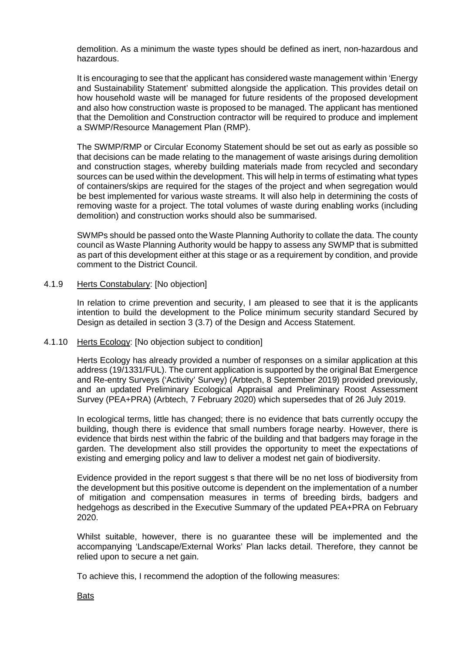demolition. As a minimum the waste types should be defined as inert, non-hazardous and hazardous.

It is encouraging to see that the applicant has considered waste management within 'Energy and Sustainability Statement' submitted alongside the application. This provides detail on how household waste will be managed for future residents of the proposed development and also how construction waste is proposed to be managed. The applicant has mentioned that the Demolition and Construction contractor will be required to produce and implement a SWMP/Resource Management Plan (RMP).

The SWMP/RMP or Circular Economy Statement should be set out as early as possible so that decisions can be made relating to the management of waste arisings during demolition and construction stages, whereby building materials made from recycled and secondary sources can be used within the development. This will help in terms of estimating what types of containers/skips are required for the stages of the project and when segregation would be best implemented for various waste streams. It will also help in determining the costs of removing waste for a project. The total volumes of waste during enabling works (including demolition) and construction works should also be summarised.

SWMPs should be passed onto the Waste Planning Authority to collate the data. The county council as Waste Planning Authority would be happy to assess any SWMP that is submitted as part of this development either at this stage or as a requirement by condition, and provide comment to the District Council.

## 4.1.9 Herts Constabulary: [No objection]

In relation to crime prevention and security, I am pleased to see that it is the applicants intention to build the development to the Police minimum security standard Secured by Design as detailed in section 3 (3.7) of the Design and Access Statement.

### 4.1.10 Herts Ecology: [No objection subject to condition]

Herts Ecology has already provided a number of responses on a similar application at this address (19/1331/FUL). The current application is supported by the original Bat Emergence and Re-entry Surveys ('Activity' Survey) (Arbtech, 8 September 2019) provided previously, and an updated Preliminary Ecological Appraisal and Preliminary Roost Assessment Survey (PEA+PRA) (Arbtech, 7 February 2020) which supersedes that of 26 July 2019.

In ecological terms, little has changed; there is no evidence that bats currently occupy the building, though there is evidence that small numbers forage nearby. However, there is evidence that birds nest within the fabric of the building and that badgers may forage in the garden. The development also still provides the opportunity to meet the expectations of existing and emerging policy and law to deliver a modest net gain of biodiversity.

Evidence provided in the report suggest s that there will be no net loss of biodiversity from the development but this positive outcome is dependent on the implementation of a number of mitigation and compensation measures in terms of breeding birds, badgers and hedgehogs as described in the Executive Summary of the updated PEA+PRA on February 2020.

Whilst suitable, however, there is no guarantee these will be implemented and the accompanying 'Landscape/External Works' Plan lacks detail. Therefore, they cannot be relied upon to secure a net gain.

To achieve this, I recommend the adoption of the following measures:

Bats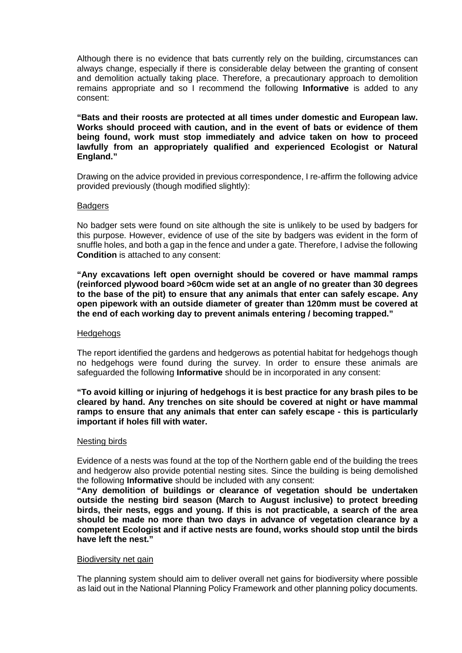Although there is no evidence that bats currently rely on the building, circumstances can always change, especially if there is considerable delay between the granting of consent and demolition actually taking place. Therefore, a precautionary approach to demolition remains appropriate and so I recommend the following **Informative** is added to any consent:

**"Bats and their roosts are protected at all times under domestic and European law. Works should proceed with caution, and in the event of bats or evidence of them being found, work must stop immediately and advice taken on how to proceed lawfully from an appropriately qualified and experienced Ecologist or Natural England."** 

Drawing on the advice provided in previous correspondence, I re-affirm the following advice provided previously (though modified slightly):

## **Badgers**

No badger sets were found on site although the site is unlikely to be used by badgers for this purpose. However, evidence of use of the site by badgers was evident in the form of snuffle holes, and both a gap in the fence and under a gate. Therefore, I advise the following **Condition** is attached to any consent:

**"Any excavations left open overnight should be covered or have mammal ramps (reinforced plywood board >60cm wide set at an angle of no greater than 30 degrees to the base of the pit) to ensure that any animals that enter can safely escape. Any open pipework with an outside diameter of greater than 120mm must be covered at the end of each working day to prevent animals entering / becoming trapped."** 

### **Hedgehogs**

The report identified the gardens and hedgerows as potential habitat for hedgehogs though no hedgehogs were found during the survey. In order to ensure these animals are safeguarded the following **Informative** should be in incorporated in any consent:

**"To avoid killing or injuring of hedgehogs it is best practice for any brash piles to be cleared by hand. Any trenches on site should be covered at night or have mammal ramps to ensure that any animals that enter can safely escape - this is particularly important if holes fill with water.** 

### Nesting birds

Evidence of a nests was found at the top of the Northern gable end of the building the trees and hedgerow also provide potential nesting sites. Since the building is being demolished the following **Informative** should be included with any consent:

**"Any demolition of buildings or clearance of vegetation should be undertaken outside the nesting bird season (March to August inclusive) to protect breeding birds, their nests, eggs and young. If this is not practicable, a search of the area should be made no more than two days in advance of vegetation clearance by a competent Ecologist and if active nests are found, works should stop until the birds have left the nest."** 

### Biodiversity net gain

The planning system should aim to deliver overall net gains for biodiversity where possible as laid out in the National Planning Policy Framework and other planning policy documents.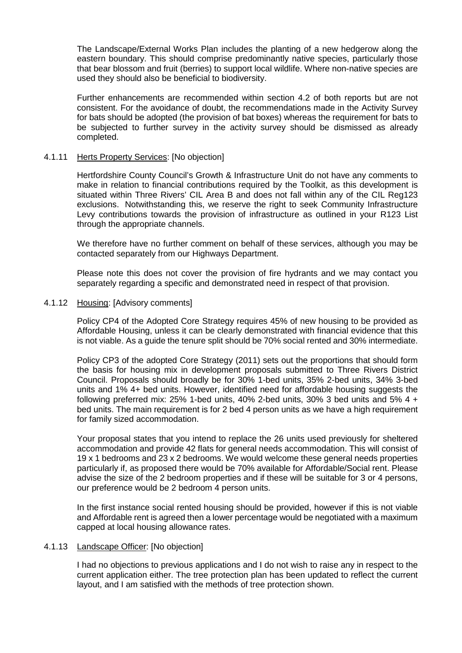The Landscape/External Works Plan includes the planting of a new hedgerow along the eastern boundary. This should comprise predominantly native species, particularly those that bear blossom and fruit (berries) to support local wildlife. Where non-native species are used they should also be beneficial to biodiversity.

Further enhancements are recommended within section 4.2 of both reports but are not consistent. For the avoidance of doubt, the recommendations made in the Activity Survey for bats should be adopted (the provision of bat boxes) whereas the requirement for bats to be subjected to further survey in the activity survey should be dismissed as already completed.

## 4.1.11 Herts Property Services: [No objection]

Hertfordshire County Council's Growth & Infrastructure Unit do not have any comments to make in relation to financial contributions required by the Toolkit, as this development is situated within Three Rivers' CIL Area B and does not fall within any of the CIL Reg123 exclusions. Notwithstanding this, we reserve the right to seek Community Infrastructure Levy contributions towards the provision of infrastructure as outlined in your R123 List through the appropriate channels.

We therefore have no further comment on behalf of these services, although you may be contacted separately from our Highways Department.

Please note this does not cover the provision of fire hydrants and we may contact you separately regarding a specific and demonstrated need in respect of that provision.

## 4.1.12 Housing: [Advisory comments]

Policy CP4 of the Adopted Core Strategy requires 45% of new housing to be provided as Affordable Housing, unless it can be clearly demonstrated with financial evidence that this is not viable. As a guide the tenure split should be 70% social rented and 30% intermediate.

Policy CP3 of the adopted Core Strategy (2011) sets out the proportions that should form the basis for housing mix in development proposals submitted to Three Rivers District Council. Proposals should broadly be for 30% 1-bed units, 35% 2-bed units, 34% 3-bed units and 1% 4+ bed units. However, identified need for affordable housing suggests the following preferred mix: 25% 1-bed units, 40% 2-bed units, 30% 3 bed units and 5% 4 + bed units. The main requirement is for 2 bed 4 person units as we have a high requirement for family sized accommodation.

Your proposal states that you intend to replace the 26 units used previously for sheltered accommodation and provide 42 flats for general needs accommodation. This will consist of 19 x 1 bedrooms and 23 x 2 bedrooms. We would welcome these general needs properties particularly if, as proposed there would be 70% available for Affordable/Social rent. Please advise the size of the 2 bedroom properties and if these will be suitable for 3 or 4 persons, our preference would be 2 bedroom 4 person units.

In the first instance social rented housing should be provided, however if this is not viable and Affordable rent is agreed then a lower percentage would be negotiated with a maximum capped at local housing allowance rates.

### 4.1.13 Landscape Officer: [No objection]

I had no objections to previous applications and I do not wish to raise any in respect to the current application either. The tree protection plan has been updated to reflect the current layout, and I am satisfied with the methods of tree protection shown.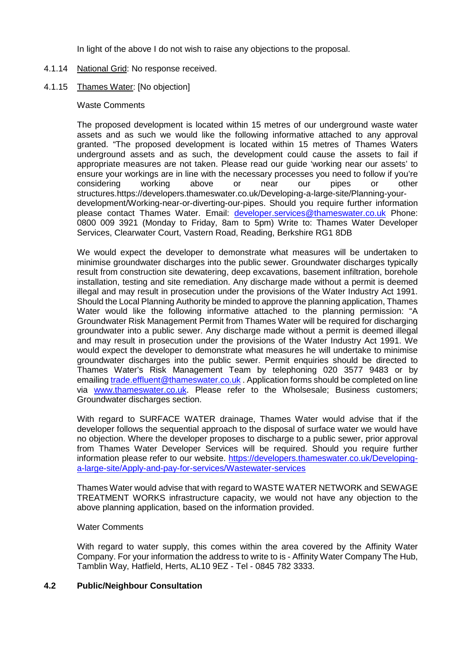In light of the above I do not wish to raise any objections to the proposal.

## 4.1.14 National Grid: No response received.

# 4.1.15 Thames Water: [No objection]

### Waste Comments

The proposed development is located within 15 metres of our underground waste water assets and as such we would like the following informative attached to any approval granted. "The proposed development is located within 15 metres of Thames Waters underground assets and as such, the development could cause the assets to fail if appropriate measures are not taken. Please read our guide 'working near our assets' to ensure your workings are in line with the necessary processes you need to follow if you're considering working above or near our pipes or other structures.https://developers.thameswater.co.uk/Developing-a-large-site/Planning-yourdevelopment/Working-near-or-diverting-our-pipes. Should you require further information please contact Thames Water. Email: [developer.services@thameswater.co.uk](mailto:developer.services@thameswater.co.uk) Phone: 0800 009 3921 (Monday to Friday, 8am to 5pm) Write to: Thames Water Developer Services, Clearwater Court, Vastern Road, Reading, Berkshire RG1 8DB

We would expect the developer to demonstrate what measures will be undertaken to minimise groundwater discharges into the public sewer. Groundwater discharges typically result from construction site dewatering, deep excavations, basement infiltration, borehole installation, testing and site remediation. Any discharge made without a permit is deemed illegal and may result in prosecution under the provisions of the Water Industry Act 1991. Should the Local Planning Authority be minded to approve the planning application, Thames Water would like the following informative attached to the planning permission: "A Groundwater Risk Management Permit from Thames Water will be required for discharging groundwater into a public sewer. Any discharge made without a permit is deemed illegal and may result in prosecution under the provisions of the Water Industry Act 1991. We would expect the developer to demonstrate what measures he will undertake to minimise groundwater discharges into the public sewer. Permit enquiries should be directed to Thames Water's Risk Management Team by telephoning 020 3577 9483 or by emailin[g trade.effluent@thameswater.co.uk](mailto:trade.effluent@thameswater.co.uk) . Application forms should be completed on line via [www.thameswater.co.uk.](http://www.thameswater.co.uk/) Please refer to the Wholsesale; Business customers; Groundwater discharges section.

With regard to SURFACE WATER drainage, Thames Water would advise that if the developer follows the sequential approach to the disposal of surface water we would have no objection. Where the developer proposes to discharge to a public sewer, prior approval from Thames Water Developer Services will be required. Should you require further information please refer to our website. [https://developers.thameswater.co.uk/Developing](https://developers.thameswater.co.uk/Developing-a-large-site/Apply-and-pay-for-services/Wastewater-services)[a-large-site/Apply-and-pay-for-services/Wastewater-services](https://developers.thameswater.co.uk/Developing-a-large-site/Apply-and-pay-for-services/Wastewater-services)

Thames Water would advise that with regard to WASTE WATER NETWORK and SEWAGE TREATMENT WORKS infrastructure capacity, we would not have any objection to the above planning application, based on the information provided.

### Water Comments

With regard to water supply, this comes within the area covered by the Affinity Water Company. For your information the address to write to is - Affinity Water Company The Hub, Tamblin Way, Hatfield, Herts, AL10 9EZ - Tel - 0845 782 3333.

# **4.2 Public/Neighbour Consultation**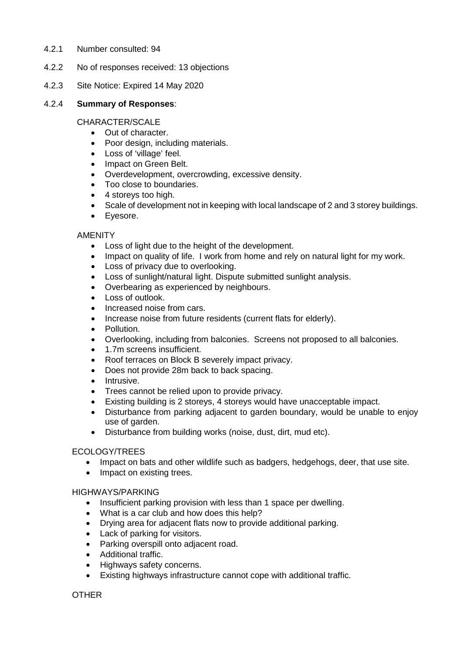- 4.2.1 Number consulted: 94
- 4.2.2 No of responses received: 13 objections
- 4.2.3 Site Notice: Expired 14 May 2020

## 4.2.4 **Summary of Responses**:

## CHARACTER/SCALE

- Out of character.
- Poor design, including materials.
- Loss of 'village' feel.
- Impact on Green Belt.
- Overdevelopment, overcrowding, excessive density.
- Too close to boundaries.
- 4 storeys too high.
- Scale of development not in keeping with local landscape of 2 and 3 storey buildings.
- Eyesore.

# AMENITY

- Loss of light due to the height of the development.
- Impact on quality of life. I work from home and rely on natural light for my work.
- Loss of privacy due to overlooking.
- Loss of sunlight/natural light. Dispute submitted sunlight analysis.
- Overbearing as experienced by neighbours.
- Loss of outlook.
- Increased noise from cars.
- Increase noise from future residents (current flats for elderly).
- Pollution.
- Overlooking, including from balconies. Screens not proposed to all balconies.
- 1.7m screens insufficient.
- Roof terraces on Block B severely impact privacy.
- Does not provide 28m back to back spacing.
- Intrusive.
- Trees cannot be relied upon to provide privacy.
- Existing building is 2 storeys, 4 storeys would have unacceptable impact.
- Disturbance from parking adjacent to garden boundary, would be unable to enjoy use of garden.
- Disturbance from building works (noise, dust, dirt, mud etc).

# ECOLOGY/TREES

- Impact on bats and other wildlife such as badgers, hedgehogs, deer, that use site.
- Impact on existing trees.

### HIGHWAYS/PARKING

- Insufficient parking provision with less than 1 space per dwelling.
- What is a car club and how does this help?
- Drying area for adjacent flats now to provide additional parking.
- Lack of parking for visitors.
- Parking overspill onto adjacent road.
- Additional traffic.
- Highways safety concerns.
- Existing highways infrastructure cannot cope with additional traffic.

# **OTHER**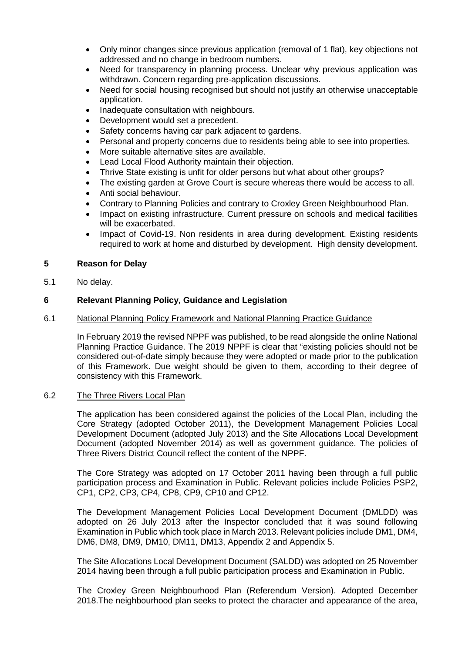- Only minor changes since previous application (removal of 1 flat), key objections not addressed and no change in bedroom numbers.
- Need for transparency in planning process. Unclear why previous application was withdrawn. Concern regarding pre-application discussions.
- Need for social housing recognised but should not justify an otherwise unacceptable application.
- Inadequate consultation with neighbours.
- Development would set a precedent.
- Safety concerns having car park adjacent to gardens.
- Personal and property concerns due to residents being able to see into properties.
- More suitable alternative sites are available.
- Lead Local Flood Authority maintain their objection.
- Thrive State existing is unfit for older persons but what about other groups?
- The existing garden at Grove Court is secure whereas there would be access to all.
- Anti social behaviour.
- Contrary to Planning Policies and contrary to Croxley Green Neighbourhood Plan.
- Impact on existing infrastructure. Current pressure on schools and medical facilities will be exacerbated.
- Impact of Covid-19. Non residents in area during development. Existing residents required to work at home and disturbed by development. High density development.

# **5 Reason for Delay**

5.1 No delay.

# **6 Relevant Planning Policy, Guidance and Legislation**

# 6.1 National Planning Policy Framework and National Planning Practice Guidance

In February 2019 the revised NPPF was published, to be read alongside the online National Planning Practice Guidance. The 2019 NPPF is clear that "existing policies should not be considered out-of-date simply because they were adopted or made prior to the publication of this Framework. Due weight should be given to them, according to their degree of consistency with this Framework.

# 6.2 The Three Rivers Local Plan

The application has been considered against the policies of the Local Plan, including the Core Strategy (adopted October 2011), the Development Management Policies Local Development Document (adopted July 2013) and the Site Allocations Local Development Document (adopted November 2014) as well as government guidance. The policies of Three Rivers District Council reflect the content of the NPPF.

The Core Strategy was adopted on 17 October 2011 having been through a full public participation process and Examination in Public. Relevant policies include Policies PSP2, CP1, CP2, CP3, CP4, CP8, CP9, CP10 and CP12.

The Development Management Policies Local Development Document (DMLDD) was adopted on 26 July 2013 after the Inspector concluded that it was sound following Examination in Public which took place in March 2013. Relevant policies include DM1, DM4, DM6, DM8, DM9, DM10, DM11, DM13, Appendix 2 and Appendix 5.

The Site Allocations Local Development Document (SALDD) was adopted on 25 November 2014 having been through a full public participation process and Examination in Public.

The Croxley Green Neighbourhood Plan (Referendum Version). Adopted December 2018.The neighbourhood plan seeks to protect the character and appearance of the area,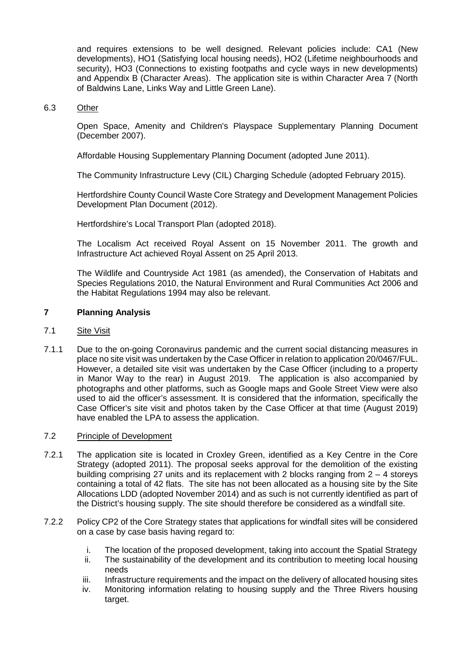and requires extensions to be well designed. Relevant policies include: CA1 (New developments), HO1 (Satisfying local housing needs), HO2 (Lifetime neighbourhoods and security), HO3 (Connections to existing footpaths and cycle ways in new developments) and Appendix B (Character Areas). The application site is within Character Area 7 (North of Baldwins Lane, Links Way and Little Green Lane).

## 6.3 Other

Open Space, Amenity and Children's Playspace Supplementary Planning Document (December 2007).

Affordable Housing Supplementary Planning Document (adopted June 2011).

The Community Infrastructure Levy (CIL) Charging Schedule (adopted February 2015).

Hertfordshire County Council Waste Core Strategy and Development Management Policies Development Plan Document (2012).

Hertfordshire's Local Transport Plan (adopted 2018).

The Localism Act received Royal Assent on 15 November 2011. The growth and Infrastructure Act achieved Royal Assent on 25 April 2013.

The Wildlife and Countryside Act 1981 (as amended), the Conservation of Habitats and Species Regulations 2010, the Natural Environment and Rural Communities Act 2006 and the Habitat Regulations 1994 may also be relevant.

# **7 Planning Analysis**

## 7.1 Site Visit

7.1.1 Due to the on-going Coronavirus pandemic and the current social distancing measures in place no site visit was undertaken by the Case Officer in relation to application 20/0467/FUL. However, a detailed site visit was undertaken by the Case Officer (including to a property in Manor Way to the rear) in August 2019. The application is also accompanied by photographs and other platforms, such as Google maps and Goole Street View were also used to aid the officer's assessment. It is considered that the information, specifically the Case Officer's site visit and photos taken by the Case Officer at that time (August 2019) have enabled the LPA to assess the application.

### 7.2 Principle of Development

- 7.2.1 The application site is located in Croxley Green, identified as a Key Centre in the Core Strategy (adopted 2011). The proposal seeks approval for the demolition of the existing building comprising 27 units and its replacement with 2 blocks ranging from  $2 - 4$  storeys containing a total of 42 flats. The site has not been allocated as a housing site by the Site Allocations LDD (adopted November 2014) and as such is not currently identified as part of the District's housing supply. The site should therefore be considered as a windfall site.
- 7.2.2 Policy CP2 of the Core Strategy states that applications for windfall sites will be considered on a case by case basis having regard to:
	- i. The location of the proposed development, taking into account the Spatial Strategy
	- ii. The sustainability of the development and its contribution to meeting local housing needs
	- iii. Infrastructure requirements and the impact on the delivery of allocated housing sites
	- iv. Monitoring information relating to housing supply and the Three Rivers housing target.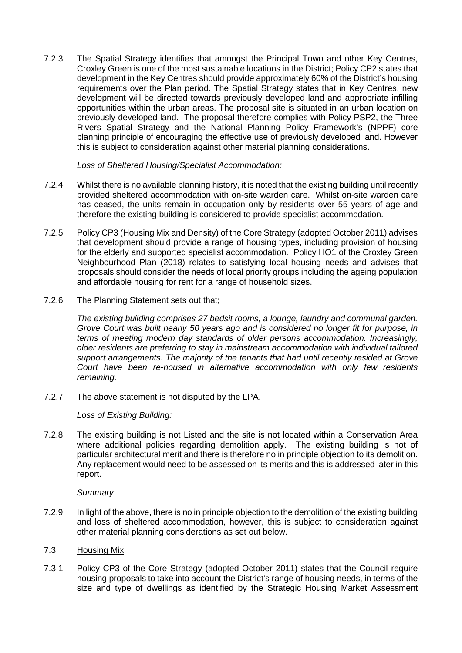7.2.3 The Spatial Strategy identifies that amongst the Principal Town and other Key Centres, Croxley Green is one of the most sustainable locations in the District; Policy CP2 states that development in the Key Centres should provide approximately 60% of the District's housing requirements over the Plan period. The Spatial Strategy states that in Key Centres, new development will be directed towards previously developed land and appropriate infilling opportunities within the urban areas. The proposal site is situated in an urban location on previously developed land. The proposal therefore complies with Policy PSP2, the Three Rivers Spatial Strategy and the National Planning Policy Framework's (NPPF) core planning principle of encouraging the effective use of previously developed land. However this is subject to consideration against other material planning considerations.

*Loss of Sheltered Housing/Specialist Accommodation:*

- 7.2.4 Whilst there is no available planning history, it is noted that the existing building until recently provided sheltered accommodation with on-site warden care. Whilst on-site warden care has ceased, the units remain in occupation only by residents over 55 years of age and therefore the existing building is considered to provide specialist accommodation.
- 7.2.5 Policy CP3 (Housing Mix and Density) of the Core Strategy (adopted October 2011) advises that development should provide a range of housing types, including provision of housing for the elderly and supported specialist accommodation. Policy HO1 of the Croxley Green Neighbourhood Plan (2018) relates to satisfying local housing needs and advises that proposals should consider the needs of local priority groups including the ageing population and affordable housing for rent for a range of household sizes.
- 7.2.6 The Planning Statement sets out that;

*The existing building comprises 27 bedsit rooms, a lounge, laundry and communal garden. Grove Court was built nearly 50 years ago and is considered no longer fit for purpose, in terms of meeting modern day standards of older persons accommodation. Increasingly, older residents are preferring to stay in mainstream accommodation with individual tailored support arrangements. The majority of the tenants that had until recently resided at Grove Court have been re-housed in alternative accommodation with only few residents remaining.* 

7.2.7 The above statement is not disputed by the LPA.

*Loss of Existing Building:*

7.2.8 The existing building is not Listed and the site is not located within a Conservation Area where additional policies regarding demolition apply. The existing building is not of particular architectural merit and there is therefore no in principle objection to its demolition. Any replacement would need to be assessed on its merits and this is addressed later in this report.

*Summary:*

7.2.9 In light of the above, there is no in principle objection to the demolition of the existing building and loss of sheltered accommodation, however, this is subject to consideration against other material planning considerations as set out below.

### 7.3 Housing Mix

7.3.1 Policy CP3 of the Core Strategy (adopted October 2011) states that the Council require housing proposals to take into account the District's range of housing needs, in terms of the size and type of dwellings as identified by the Strategic Housing Market Assessment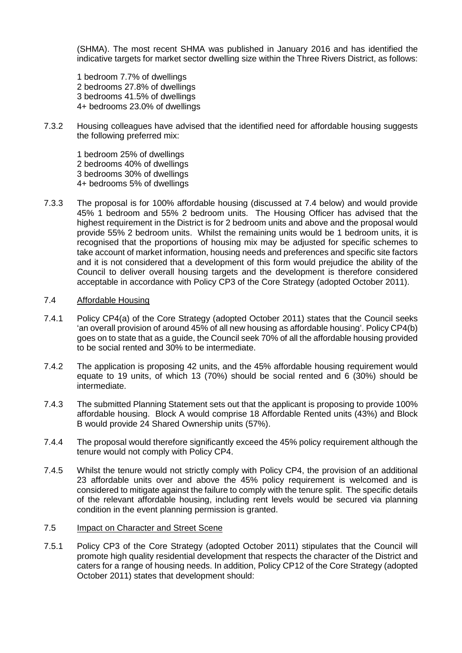(SHMA). The most recent SHMA was published in January 2016 and has identified the indicative targets for market sector dwelling size within the Three Rivers District, as follows:

1 bedroom 7.7% of dwellings 2 bedrooms 27.8% of dwellings 3 bedrooms 41.5% of dwellings 4+ bedrooms 23.0% of dwellings

7.3.2 Housing colleagues have advised that the identified need for affordable housing suggests the following preferred mix:

1 bedroom 25% of dwellings 2 bedrooms 40% of dwellings 3 bedrooms 30% of dwellings 4+ bedrooms 5% of dwellings

7.3.3 The proposal is for 100% affordable housing (discussed at 7.4 below) and would provide 45% 1 bedroom and 55% 2 bedroom units. The Housing Officer has advised that the highest requirement in the District is for 2 bedroom units and above and the proposal would provide 55% 2 bedroom units. Whilst the remaining units would be 1 bedroom units, it is recognised that the proportions of housing mix may be adjusted for specific schemes to take account of market information, housing needs and preferences and specific site factors and it is not considered that a development of this form would prejudice the ability of the Council to deliver overall housing targets and the development is therefore considered acceptable in accordance with Policy CP3 of the Core Strategy (adopted October 2011).

## 7.4 Affordable Housing

- 7.4.1 Policy CP4(a) of the Core Strategy (adopted October 2011) states that the Council seeks 'an overall provision of around 45% of all new housing as affordable housing'. Policy CP4(b) goes on to state that as a guide, the Council seek 70% of all the affordable housing provided to be social rented and 30% to be intermediate.
- 7.4.2 The application is proposing 42 units, and the 45% affordable housing requirement would equate to 19 units, of which 13 (70%) should be social rented and 6 (30%) should be intermediate.
- 7.4.3 The submitted Planning Statement sets out that the applicant is proposing to provide 100% affordable housing. Block A would comprise 18 Affordable Rented units (43%) and Block B would provide 24 Shared Ownership units (57%).
- 7.4.4 The proposal would therefore significantly exceed the 45% policy requirement although the tenure would not comply with Policy CP4.
- 7.4.5 Whilst the tenure would not strictly comply with Policy CP4, the provision of an additional 23 affordable units over and above the 45% policy requirement is welcomed and is considered to mitigate against the failure to comply with the tenure split. The specific details of the relevant affordable housing, including rent levels would be secured via planning condition in the event planning permission is granted.

### 7.5 Impact on Character and Street Scene

7.5.1 Policy CP3 of the Core Strategy (adopted October 2011) stipulates that the Council will promote high quality residential development that respects the character of the District and caters for a range of housing needs. In addition, Policy CP12 of the Core Strategy (adopted October 2011) states that development should: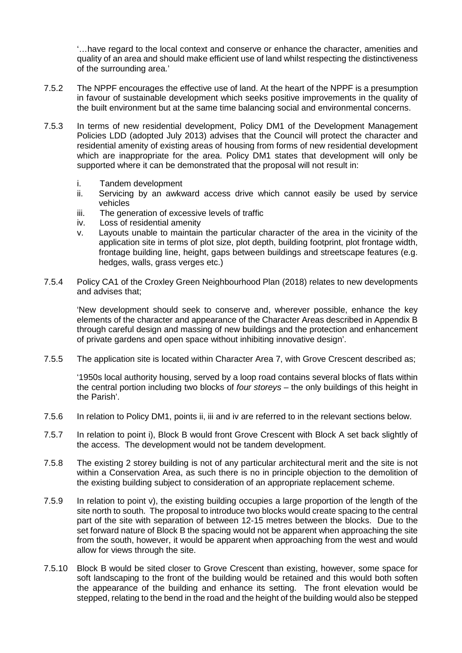'…have regard to the local context and conserve or enhance the character, amenities and quality of an area and should make efficient use of land whilst respecting the distinctiveness of the surrounding area.'

- 7.5.2 The NPPF encourages the effective use of land. At the heart of the NPPF is a presumption in favour of sustainable development which seeks positive improvements in the quality of the built environment but at the same time balancing social and environmental concerns.
- 7.5.3 In terms of new residential development, Policy DM1 of the Development Management Policies LDD (adopted July 2013) advises that the Council will protect the character and residential amenity of existing areas of housing from forms of new residential development which are inappropriate for the area. Policy DM1 states that development will only be supported where it can be demonstrated that the proposal will not result in:
	- i. Tandem development
	- ii. Servicing by an awkward access drive which cannot easily be used by service vehicles
	- iii. The generation of excessive levels of traffic
	- iv. Loss of residential amenity
	- v. Layouts unable to maintain the particular character of the area in the vicinity of the application site in terms of plot size, plot depth, building footprint, plot frontage width, frontage building line, height, gaps between buildings and streetscape features (e.g. hedges, walls, grass verges etc.)
- 7.5.4 Policy CA1 of the Croxley Green Neighbourhood Plan (2018) relates to new developments and advises that;

'New development should seek to conserve and, wherever possible, enhance the key elements of the character and appearance of the Character Areas described in Appendix B through careful design and massing of new buildings and the protection and enhancement of private gardens and open space without inhibiting innovative design'.

7.5.5 The application site is located within Character Area 7, with Grove Crescent described as;

'1950s local authority housing, served by a loop road contains several blocks of flats within the central portion including two blocks of *four storeys* – the only buildings of this height in the Parish'.

- 7.5.6 In relation to Policy DM1, points ii, iii and iv are referred to in the relevant sections below.
- 7.5.7 In relation to point i), Block B would front Grove Crescent with Block A set back slightly of the access. The development would not be tandem development.
- 7.5.8 The existing 2 storey building is not of any particular architectural merit and the site is not within a Conservation Area, as such there is no in principle objection to the demolition of the existing building subject to consideration of an appropriate replacement scheme.
- 7.5.9 In relation to point v), the existing building occupies a large proportion of the length of the site north to south. The proposal to introduce two blocks would create spacing to the central part of the site with separation of between 12-15 metres between the blocks. Due to the set forward nature of Block B the spacing would not be apparent when approaching the site from the south, however, it would be apparent when approaching from the west and would allow for views through the site.
- 7.5.10 Block B would be sited closer to Grove Crescent than existing, however, some space for soft landscaping to the front of the building would be retained and this would both soften the appearance of the building and enhance its setting. The front elevation would be stepped, relating to the bend in the road and the height of the building would also be stepped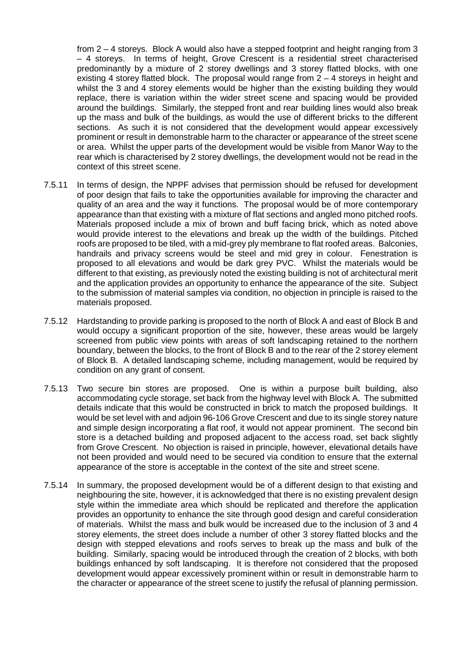from 2 – 4 storeys. Block A would also have a stepped footprint and height ranging from 3 – 4 storeys. In terms of height, Grove Crescent is a residential street characterised predominantly by a mixture of 2 storey dwellings and 3 storey flatted blocks, with one existing 4 storey flatted block. The proposal would range from 2 – 4 storeys in height and whilst the 3 and 4 storey elements would be higher than the existing building they would replace, there is variation within the wider street scene and spacing would be provided around the buildings. Similarly, the stepped front and rear building lines would also break up the mass and bulk of the buildings, as would the use of different bricks to the different sections. As such it is not considered that the development would appear excessively prominent or result in demonstrable harm to the character or appearance of the street scene or area. Whilst the upper parts of the development would be visible from Manor Way to the rear which is characterised by 2 storey dwellings, the development would not be read in the context of this street scene.

- 7.5.11 In terms of design, the NPPF advises that permission should be refused for development of poor design that fails to take the opportunities available for improving the character and quality of an area and the way it functions. The proposal would be of more contemporary appearance than that existing with a mixture of flat sections and angled mono pitched roofs. Materials proposed include a mix of brown and buff facing brick, which as noted above would provide interest to the elevations and break up the width of the buildings. Pitched roofs are proposed to be tiled, with a mid-grey ply membrane to flat roofed areas. Balconies, handrails and privacy screens would be steel and mid grey in colour. Fenestration is proposed to all elevations and would be dark grey PVC. Whilst the materials would be different to that existing, as previously noted the existing building is not of architectural merit and the application provides an opportunity to enhance the appearance of the site. Subject to the submission of material samples via condition, no objection in principle is raised to the materials proposed.
- 7.5.12 Hardstanding to provide parking is proposed to the north of Block A and east of Block B and would occupy a significant proportion of the site, however, these areas would be largely screened from public view points with areas of soft landscaping retained to the northern boundary, between the blocks, to the front of Block B and to the rear of the 2 storey element of Block B. A detailed landscaping scheme, including management, would be required by condition on any grant of consent.
- 7.5.13 Two secure bin stores are proposed. One is within a purpose built building, also accommodating cycle storage, set back from the highway level with Block A. The submitted details indicate that this would be constructed in brick to match the proposed buildings. It would be set level with and adjoin 96-106 Grove Crescent and due to its single storey nature and simple design incorporating a flat roof, it would not appear prominent. The second bin store is a detached building and proposed adjacent to the access road, set back slightly from Grove Crescent. No objection is raised in principle, however, elevational details have not been provided and would need to be secured via condition to ensure that the external appearance of the store is acceptable in the context of the site and street scene.
- 7.5.14 In summary, the proposed development would be of a different design to that existing and neighbouring the site, however, it is acknowledged that there is no existing prevalent design style within the immediate area which should be replicated and therefore the application provides an opportunity to enhance the site through good design and careful consideration of materials. Whilst the mass and bulk would be increased due to the inclusion of 3 and 4 storey elements, the street does include a number of other 3 storey flatted blocks and the design with stepped elevations and roofs serves to break up the mass and bulk of the building. Similarly, spacing would be introduced through the creation of 2 blocks, with both buildings enhanced by soft landscaping. It is therefore not considered that the proposed development would appear excessively prominent within or result in demonstrable harm to the character or appearance of the street scene to justify the refusal of planning permission.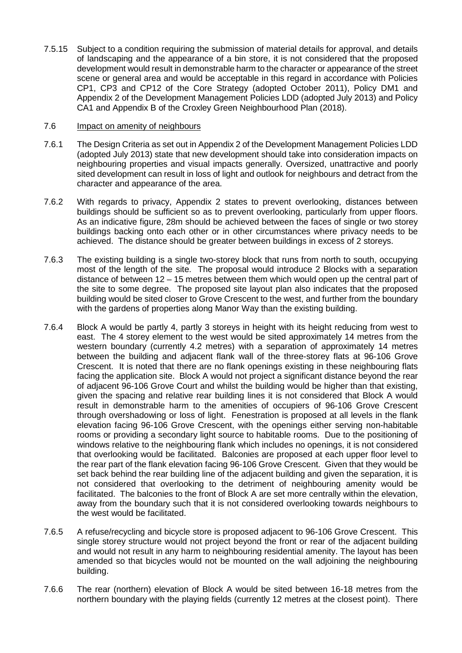7.5.15 Subject to a condition requiring the submission of material details for approval, and details of landscaping and the appearance of a bin store, it is not considered that the proposed development would result in demonstrable harm to the character or appearance of the street scene or general area and would be acceptable in this regard in accordance with Policies CP1, CP3 and CP12 of the Core Strategy (adopted October 2011), Policy DM1 and Appendix 2 of the Development Management Policies LDD (adopted July 2013) and Policy CA1 and Appendix B of the Croxley Green Neighbourhood Plan (2018).

## 7.6 Impact on amenity of neighbours

- 7.6.1 The Design Criteria as set out in Appendix 2 of the Development Management Policies LDD (adopted July 2013) state that new development should take into consideration impacts on neighbouring properties and visual impacts generally. Oversized, unattractive and poorly sited development can result in loss of light and outlook for neighbours and detract from the character and appearance of the area.
- 7.6.2 With regards to privacy, Appendix 2 states to prevent overlooking, distances between buildings should be sufficient so as to prevent overlooking, particularly from upper floors. As an indicative figure, 28m should be achieved between the faces of single or two storey buildings backing onto each other or in other circumstances where privacy needs to be achieved. The distance should be greater between buildings in excess of 2 storeys.
- 7.6.3 The existing building is a single two-storey block that runs from north to south, occupying most of the length of the site. The proposal would introduce 2 Blocks with a separation distance of between 12 – 15 metres between them which would open up the central part of the site to some degree. The proposed site layout plan also indicates that the proposed building would be sited closer to Grove Crescent to the west, and further from the boundary with the gardens of properties along Manor Way than the existing building.
- 7.6.4 Block A would be partly 4, partly 3 storeys in height with its height reducing from west to east. The 4 storey element to the west would be sited approximately 14 metres from the western boundary (currently 4.2 metres) with a separation of approximately 14 metres between the building and adjacent flank wall of the three-storey flats at 96-106 Grove Crescent. It is noted that there are no flank openings existing in these neighbouring flats facing the application site. Block A would not project a significant distance beyond the rear of adjacent 96-106 Grove Court and whilst the building would be higher than that existing, given the spacing and relative rear building lines it is not considered that Block A would result in demonstrable harm to the amenities of occupiers of 96-106 Grove Crescent through overshadowing or loss of light. Fenestration is proposed at all levels in the flank elevation facing 96-106 Grove Crescent, with the openings either serving non-habitable rooms or providing a secondary light source to habitable rooms. Due to the positioning of windows relative to the neighbouring flank which includes no openings, it is not considered that overlooking would be facilitated. Balconies are proposed at each upper floor level to the rear part of the flank elevation facing 96-106 Grove Crescent. Given that they would be set back behind the rear building line of the adjacent building and given the separation, it is not considered that overlooking to the detriment of neighbouring amenity would be facilitated. The balconies to the front of Block A are set more centrally within the elevation, away from the boundary such that it is not considered overlooking towards neighbours to the west would be facilitated.
- 7.6.5 A refuse/recycling and bicycle store is proposed adjacent to 96-106 Grove Crescent. This single storey structure would not project beyond the front or rear of the adjacent building and would not result in any harm to neighbouring residential amenity. The layout has been amended so that bicycles would not be mounted on the wall adjoining the neighbouring building.
- 7.6.6 The rear (northern) elevation of Block A would be sited between 16-18 metres from the northern boundary with the playing fields (currently 12 metres at the closest point). There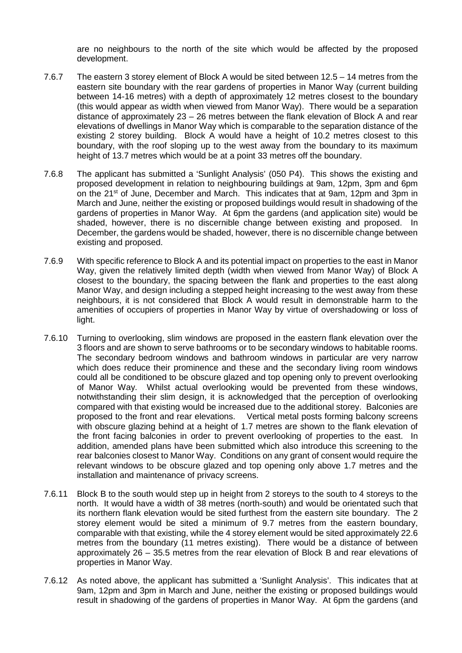are no neighbours to the north of the site which would be affected by the proposed development.

- 7.6.7 The eastern 3 storey element of Block A would be sited between 12.5 14 metres from the eastern site boundary with the rear gardens of properties in Manor Way (current building between 14-16 metres) with a depth of approximately 12 metres closest to the boundary (this would appear as width when viewed from Manor Way). There would be a separation distance of approximately 23 – 26 metres between the flank elevation of Block A and rear elevations of dwellings in Manor Way which is comparable to the separation distance of the existing 2 storey building. Block A would have a height of 10.2 metres closest to this boundary, with the roof sloping up to the west away from the boundary to its maximum height of 13.7 metres which would be at a point 33 metres off the boundary.
- 7.6.8 The applicant has submitted a 'Sunlight Analysis' (050 P4). This shows the existing and proposed development in relation to neighbouring buildings at 9am, 12pm, 3pm and 6pm on the 21st of June, December and March. This indicates that at 9am, 12pm and 3pm in March and June, neither the existing or proposed buildings would result in shadowing of the gardens of properties in Manor Way. At 6pm the gardens (and application site) would be shaded, however, there is no discernible change between existing and proposed. In December, the gardens would be shaded, however, there is no discernible change between existing and proposed.
- 7.6.9 With specific reference to Block A and its potential impact on properties to the east in Manor Way, given the relatively limited depth (width when viewed from Manor Way) of Block A closest to the boundary, the spacing between the flank and properties to the east along Manor Way, and design including a stepped height increasing to the west away from these neighbours, it is not considered that Block A would result in demonstrable harm to the amenities of occupiers of properties in Manor Way by virtue of overshadowing or loss of light.
- 7.6.10 Turning to overlooking, slim windows are proposed in the eastern flank elevation over the 3 floors and are shown to serve bathrooms or to be secondary windows to habitable rooms. The secondary bedroom windows and bathroom windows in particular are very narrow which does reduce their prominence and these and the secondary living room windows could all be conditioned to be obscure glazed and top opening only to prevent overlooking of Manor Way. Whilst actual overlooking would be prevented from these windows, notwithstanding their slim design, it is acknowledged that the perception of overlooking compared with that existing would be increased due to the additional storey. Balconies are proposed to the front and rear elevations. Vertical metal posts forming balcony screens with obscure glazing behind at a height of 1.7 metres are shown to the flank elevation of the front facing balconies in order to prevent overlooking of properties to the east. In addition, amended plans have been submitted which also introduce this screening to the rear balconies closest to Manor Way. Conditions on any grant of consent would require the relevant windows to be obscure glazed and top opening only above 1.7 metres and the installation and maintenance of privacy screens.
- 7.6.11 Block B to the south would step up in height from 2 storeys to the south to 4 storeys to the north. It would have a width of 38 metres (north-south) and would be orientated such that its northern flank elevation would be sited furthest from the eastern site boundary. The 2 storey element would be sited a minimum of 9.7 metres from the eastern boundary, comparable with that existing, while the 4 storey element would be sited approximately 22.6 metres from the boundary (11 metres existing). There would be a distance of between approximately 26 – 35.5 metres from the rear elevation of Block B and rear elevations of properties in Manor Way.
- 7.6.12 As noted above, the applicant has submitted a 'Sunlight Analysis'. This indicates that at 9am, 12pm and 3pm in March and June, neither the existing or proposed buildings would result in shadowing of the gardens of properties in Manor Way. At 6pm the gardens (and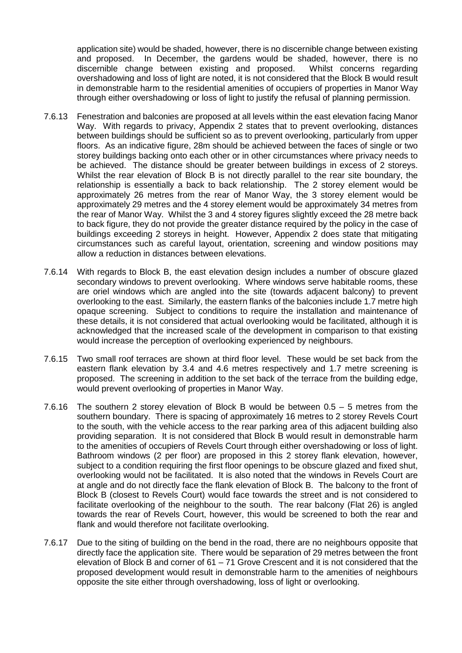application site) would be shaded, however, there is no discernible change between existing and proposed. In December, the gardens would be shaded, however, there is no discernible change between existing and proposed. Whilst concerns regarding overshadowing and loss of light are noted, it is not considered that the Block B would result in demonstrable harm to the residential amenities of occupiers of properties in Manor Way through either overshadowing or loss of light to justify the refusal of planning permission.

- 7.6.13 Fenestration and balconies are proposed at all levels within the east elevation facing Manor Way. With regards to privacy, Appendix 2 states that to prevent overlooking, distances between buildings should be sufficient so as to prevent overlooking, particularly from upper floors. As an indicative figure, 28m should be achieved between the faces of single or two storey buildings backing onto each other or in other circumstances where privacy needs to be achieved. The distance should be greater between buildings in excess of 2 storeys. Whilst the rear elevation of Block B is not directly parallel to the rear site boundary, the relationship is essentially a back to back relationship. The 2 storey element would be approximately 26 metres from the rear of Manor Way, the 3 storey element would be approximately 29 metres and the 4 storey element would be approximately 34 metres from the rear of Manor Way. Whilst the 3 and 4 storey figures slightly exceed the 28 metre back to back figure, they do not provide the greater distance required by the policy in the case of buildings exceeding 2 storeys in height. However, Appendix 2 does state that mitigating circumstances such as careful layout, orientation, screening and window positions may allow a reduction in distances between elevations.
- 7.6.14 With regards to Block B, the east elevation design includes a number of obscure glazed secondary windows to prevent overlooking. Where windows serve habitable rooms, these are oriel windows which are angled into the site (towards adjacent balcony) to prevent overlooking to the east. Similarly, the eastern flanks of the balconies include 1.7 metre high opaque screening. Subject to conditions to require the installation and maintenance of these details, it is not considered that actual overlooking would be facilitated, although it is acknowledged that the increased scale of the development in comparison to that existing would increase the perception of overlooking experienced by neighbours.
- 7.6.15 Two small roof terraces are shown at third floor level. These would be set back from the eastern flank elevation by 3.4 and 4.6 metres respectively and 1.7 metre screening is proposed. The screening in addition to the set back of the terrace from the building edge, would prevent overlooking of properties in Manor Way.
- 7.6.16 The southern 2 storey elevation of Block B would be between 0.5 5 metres from the southern boundary. There is spacing of approximately 16 metres to 2 storey Revels Court to the south, with the vehicle access to the rear parking area of this adjacent building also providing separation. It is not considered that Block B would result in demonstrable harm to the amenities of occupiers of Revels Court through either overshadowing or loss of light. Bathroom windows (2 per floor) are proposed in this 2 storey flank elevation, however, subject to a condition requiring the first floor openings to be obscure glazed and fixed shut. overlooking would not be facilitated. It is also noted that the windows in Revels Court are at angle and do not directly face the flank elevation of Block B. The balcony to the front of Block B (closest to Revels Court) would face towards the street and is not considered to facilitate overlooking of the neighbour to the south. The rear balcony (Flat 26) is angled towards the rear of Revels Court, however, this would be screened to both the rear and flank and would therefore not facilitate overlooking.
- 7.6.17 Due to the siting of building on the bend in the road, there are no neighbours opposite that directly face the application site. There would be separation of 29 metres between the front elevation of Block B and corner of 61 – 71 Grove Crescent and it is not considered that the proposed development would result in demonstrable harm to the amenities of neighbours opposite the site either through overshadowing, loss of light or overlooking.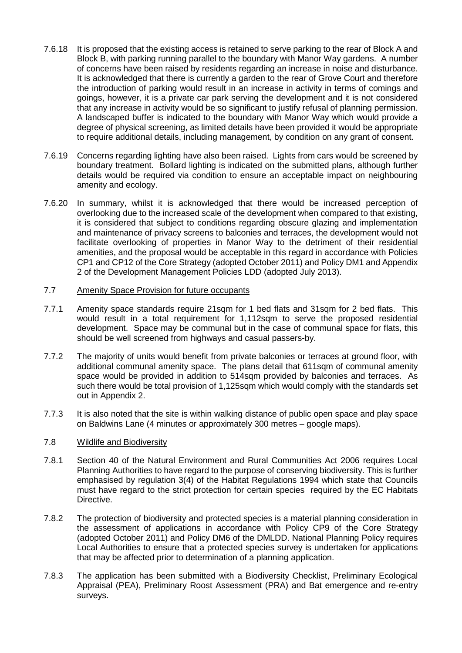- 7.6.18 It is proposed that the existing access is retained to serve parking to the rear of Block A and Block B, with parking running parallel to the boundary with Manor Way gardens. A number of concerns have been raised by residents regarding an increase in noise and disturbance. It is acknowledged that there is currently a garden to the rear of Grove Court and therefore the introduction of parking would result in an increase in activity in terms of comings and goings, however, it is a private car park serving the development and it is not considered that any increase in activity would be so significant to justify refusal of planning permission. A landscaped buffer is indicated to the boundary with Manor Way which would provide a degree of physical screening, as limited details have been provided it would be appropriate to require additional details, including management, by condition on any grant of consent.
- 7.6.19 Concerns regarding lighting have also been raised. Lights from cars would be screened by boundary treatment. Bollard lighting is indicated on the submitted plans, although further details would be required via condition to ensure an acceptable impact on neighbouring amenity and ecology.
- 7.6.20 In summary, whilst it is acknowledged that there would be increased perception of overlooking due to the increased scale of the development when compared to that existing, it is considered that subject to conditions regarding obscure glazing and implementation and maintenance of privacy screens to balconies and terraces, the development would not facilitate overlooking of properties in Manor Way to the detriment of their residential amenities, and the proposal would be acceptable in this regard in accordance with Policies CP1 and CP12 of the Core Strategy (adopted October 2011) and Policy DM1 and Appendix 2 of the Development Management Policies LDD (adopted July 2013).

## 7.7 Amenity Space Provision for future occupants

- 7.7.1 Amenity space standards require 21sqm for 1 bed flats and 31sqm for 2 bed flats. This would result in a total requirement for 1,112sqm to serve the proposed residential development. Space may be communal but in the case of communal space for flats, this should be well screened from highways and casual passers-by.
- 7.7.2 The majority of units would benefit from private balconies or terraces at ground floor, with additional communal amenity space. The plans detail that 611sqm of communal amenity space would be provided in addition to 514sqm provided by balconies and terraces. As such there would be total provision of 1,125sqm which would comply with the standards set out in Appendix 2.
- 7.7.3 It is also noted that the site is within walking distance of public open space and play space on Baldwins Lane (4 minutes or approximately 300 metres – google maps).

# 7.8 Wildlife and Biodiversity

- 7.8.1 Section 40 of the Natural Environment and Rural Communities Act 2006 requires Local Planning Authorities to have regard to the purpose of conserving biodiversity. This is further emphasised by regulation 3(4) of the Habitat Regulations 1994 which state that Councils must have regard to the strict protection for certain species required by the EC Habitats Directive.
- 7.8.2 The protection of biodiversity and protected species is a material planning consideration in the assessment of applications in accordance with Policy CP9 of the Core Strategy (adopted October 2011) and Policy DM6 of the DMLDD. National Planning Policy requires Local Authorities to ensure that a protected species survey is undertaken for applications that may be affected prior to determination of a planning application.
- 7.8.3 The application has been submitted with a Biodiversity Checklist, Preliminary Ecological Appraisal (PEA), Preliminary Roost Assessment (PRA) and Bat emergence and re-entry surveys.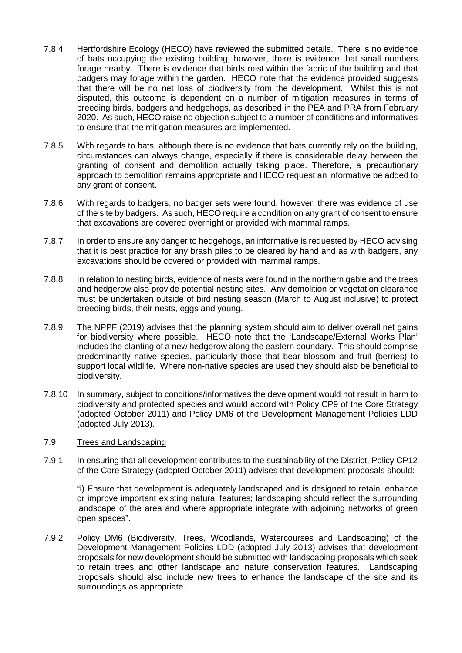- 7.8.4 Hertfordshire Ecology (HECO) have reviewed the submitted details. There is no evidence of bats occupying the existing building, however, there is evidence that small numbers forage nearby. There is evidence that birds nest within the fabric of the building and that badgers may forage within the garden. HECO note that the evidence provided suggests that there will be no net loss of biodiversity from the development. Whilst this is not disputed, this outcome is dependent on a number of mitigation measures in terms of breeding birds, badgers and hedgehogs, as described in the PEA and PRA from February 2020. As such, HECO raise no objection subject to a number of conditions and informatives to ensure that the mitigation measures are implemented.
- 7.8.5 With regards to bats, although there is no evidence that bats currently rely on the building, circumstances can always change, especially if there is considerable delay between the granting of consent and demolition actually taking place. Therefore, a precautionary approach to demolition remains appropriate and HECO request an informative be added to any grant of consent.
- 7.8.6 With regards to badgers, no badger sets were found, however, there was evidence of use of the site by badgers. As such, HECO require a condition on any grant of consent to ensure that excavations are covered overnight or provided with mammal ramps.
- 7.8.7 In order to ensure any danger to hedgehogs, an informative is requested by HECO advising that it is best practice for any brash piles to be cleared by hand and as with badgers, any excavations should be covered or provided with mammal ramps.
- 7.8.8 In relation to nesting birds, evidence of nests were found in the northern gable and the trees and hedgerow also provide potential nesting sites. Any demolition or vegetation clearance must be undertaken outside of bird nesting season (March to August inclusive) to protect breeding birds, their nests, eggs and young.
- 7.8.9 The NPPF (2019) advises that the planning system should aim to deliver overall net gains for biodiversity where possible. HECO note that the 'Landscape/External Works Plan' includes the planting of a new hedgerow along the eastern boundary. This should comprise predominantly native species, particularly those that bear blossom and fruit (berries) to support local wildlife. Where non-native species are used they should also be beneficial to biodiversity.
- 7.8.10 In summary, subject to conditions/informatives the development would not result in harm to biodiversity and protected species and would accord with Policy CP9 of the Core Strategy (adopted October 2011) and Policy DM6 of the Development Management Policies LDD (adopted July 2013).

### 7.9 Trees and Landscaping

7.9.1 In ensuring that all development contributes to the sustainability of the District, Policy CP12 of the Core Strategy (adopted October 2011) advises that development proposals should:

"i) Ensure that development is adequately landscaped and is designed to retain, enhance or improve important existing natural features; landscaping should reflect the surrounding landscape of the area and where appropriate integrate with adjoining networks of green open spaces".

7.9.2 Policy DM6 (Biodiversity, Trees, Woodlands, Watercourses and Landscaping) of the Development Management Policies LDD (adopted July 2013) advises that development proposals for new development should be submitted with landscaping proposals which seek to retain trees and other landscape and nature conservation features. Landscaping proposals should also include new trees to enhance the landscape of the site and its surroundings as appropriate.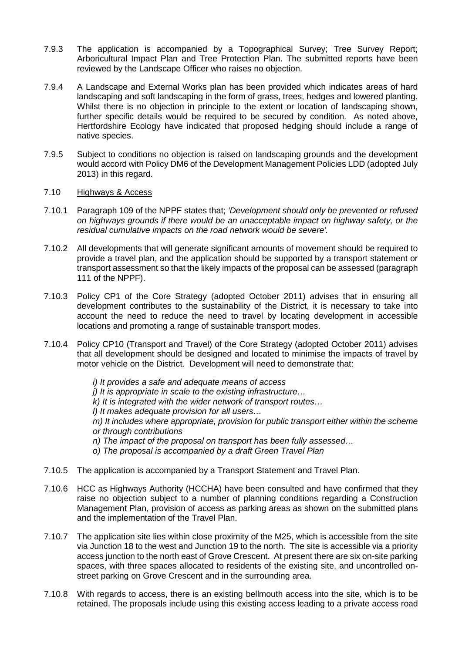- 7.9.3 The application is accompanied by a Topographical Survey; Tree Survey Report; Arboricultural Impact Plan and Tree Protection Plan. The submitted reports have been reviewed by the Landscape Officer who raises no objection.
- 7.9.4 A Landscape and External Works plan has been provided which indicates areas of hard landscaping and soft landscaping in the form of grass, trees, hedges and lowered planting. Whilst there is no objection in principle to the extent or location of landscaping shown, further specific details would be required to be secured by condition. As noted above, Hertfordshire Ecology have indicated that proposed hedging should include a range of native species.
- 7.9.5 Subject to conditions no objection is raised on landscaping grounds and the development would accord with Policy DM6 of the Development Management Policies LDD (adopted July 2013) in this regard.

## 7.10 Highways & Access

- 7.10.1 Paragraph 109 of the NPPF states that; *'Development should only be prevented or refused on highways grounds if there would be an unacceptable impact on highway safety, or the residual cumulative impacts on the road network would be severe'.*
- 7.10.2 All developments that will generate significant amounts of movement should be required to provide a travel plan, and the application should be supported by a transport statement or transport assessment so that the likely impacts of the proposal can be assessed (paragraph 111 of the NPPF).
- 7.10.3 Policy CP1 of the Core Strategy (adopted October 2011) advises that in ensuring all development contributes to the sustainability of the District, it is necessary to take into account the need to reduce the need to travel by locating development in accessible locations and promoting a range of sustainable transport modes.
- 7.10.4 Policy CP10 (Transport and Travel) of the Core Strategy (adopted October 2011) advises that all development should be designed and located to minimise the impacts of travel by motor vehicle on the District. Development will need to demonstrate that:
	- *i) It provides a safe and adequate means of access j) It is appropriate in scale to the existing infrastructure… k) It is integrated with the wider network of transport routes… l) It makes adequate provision for all users… m) It includes where appropriate, provision for public transport either within the scheme or through contributions n) The impact of the proposal on transport has been fully assessed… o) The proposal is accompanied by a draft Green Travel Plan*
- 7.10.5 The application is accompanied by a Transport Statement and Travel Plan.
- 7.10.6 HCC as Highways Authority (HCCHA) have been consulted and have confirmed that they raise no objection subject to a number of planning conditions regarding a Construction Management Plan, provision of access as parking areas as shown on the submitted plans and the implementation of the Travel Plan.
- 7.10.7 The application site lies within close proximity of the M25, which is accessible from the site via Junction 18 to the west and Junction 19 to the north. The site is accessible via a priority access junction to the north east of Grove Crescent. At present there are six on-site parking spaces, with three spaces allocated to residents of the existing site, and uncontrolled onstreet parking on Grove Crescent and in the surrounding area.
- 7.10.8 With regards to access, there is an existing bellmouth access into the site, which is to be retained. The proposals include using this existing access leading to a private access road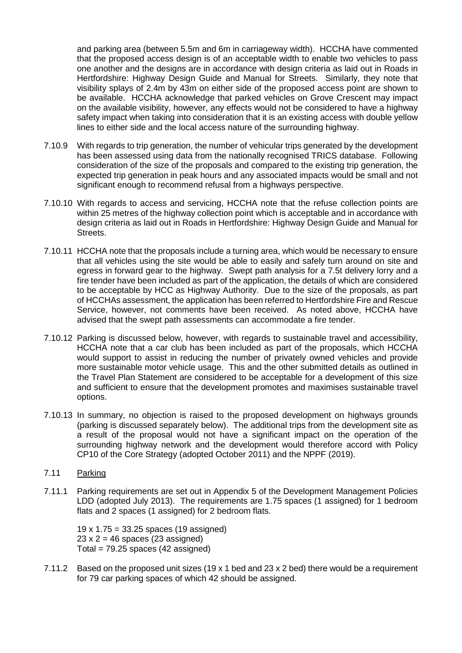and parking area (between 5.5m and 6m in carriageway width). HCCHA have commented that the proposed access design is of an acceptable width to enable two vehicles to pass one another and the designs are in accordance with design criteria as laid out in Roads in Hertfordshire: Highway Design Guide and Manual for Streets. Similarly, they note that visibility splays of 2.4m by 43m on either side of the proposed access point are shown to be available. HCCHA acknowledge that parked vehicles on Grove Crescent may impact on the available visibility, however, any effects would not be considered to have a highway safety impact when taking into consideration that it is an existing access with double yellow lines to either side and the local access nature of the surrounding highway.

- 7.10.9 With regards to trip generation, the number of vehicular trips generated by the development has been assessed using data from the nationally recognised TRICS database. Following consideration of the size of the proposals and compared to the existing trip generation, the expected trip generation in peak hours and any associated impacts would be small and not significant enough to recommend refusal from a highways perspective.
- 7.10.10 With regards to access and servicing, HCCHA note that the refuse collection points are within 25 metres of the highway collection point which is acceptable and in accordance with design criteria as laid out in Roads in Hertfordshire: Highway Design Guide and Manual for Streets.
- 7.10.11 HCCHA note that the proposals include a turning area, which would be necessary to ensure that all vehicles using the site would be able to easily and safely turn around on site and egress in forward gear to the highway. Swept path analysis for a 7.5t delivery lorry and a fire tender have been included as part of the application, the details of which are considered to be acceptable by HCC as Highway Authority. Due to the size of the proposals, as part of HCCHAs assessment, the application has been referred to Hertfordshire Fire and Rescue Service, however, not comments have been received. As noted above, HCCHA have advised that the swept path assessments can accommodate a fire tender.
- 7.10.12 Parking is discussed below, however, with regards to sustainable travel and accessibility, HCCHA note that a car club has been included as part of the proposals, which HCCHA would support to assist in reducing the number of privately owned vehicles and provide more sustainable motor vehicle usage. This and the other submitted details as outlined in the Travel Plan Statement are considered to be acceptable for a development of this size and sufficient to ensure that the development promotes and maximises sustainable travel options.
- 7.10.13 In summary, no objection is raised to the proposed development on highways grounds (parking is discussed separately below). The additional trips from the development site as a result of the proposal would not have a significant impact on the operation of the surrounding highway network and the development would therefore accord with Policy CP10 of the Core Strategy (adopted October 2011) and the NPPF (2019).

# 7.11 Parking

7.11.1 Parking requirements are set out in Appendix 5 of the Development Management Policies LDD (adopted July 2013). The requirements are 1.75 spaces (1 assigned) for 1 bedroom flats and 2 spaces (1 assigned) for 2 bedroom flats.

19 x 1.75 = 33.25 spaces (19 assigned)  $23 \times 2 = 46$  spaces (23 assigned) Total =  $79.25$  spaces (42 assigned)

7.11.2 Based on the proposed unit sizes (19 x 1 bed and 23 x 2 bed) there would be a requirement for 79 car parking spaces of which 42 should be assigned.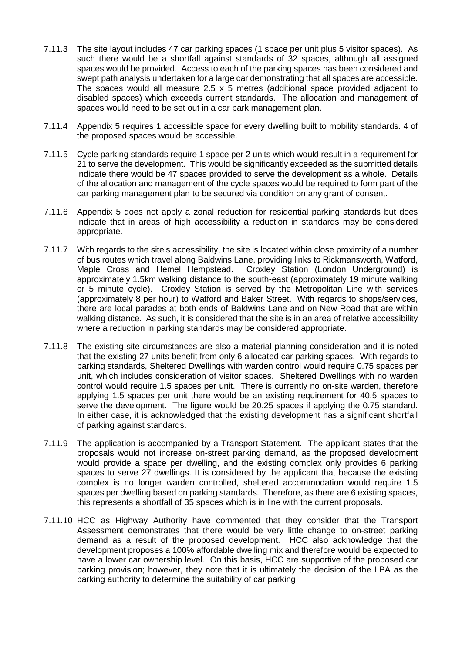- 7.11.3 The site layout includes 47 car parking spaces (1 space per unit plus 5 visitor spaces). As such there would be a shortfall against standards of 32 spaces, although all assigned spaces would be provided. Access to each of the parking spaces has been considered and swept path analysis undertaken for a large car demonstrating that all spaces are accessible. The spaces would all measure 2.5 x 5 metres (additional space provided adjacent to disabled spaces) which exceeds current standards. The allocation and management of spaces would need to be set out in a car park management plan.
- 7.11.4 Appendix 5 requires 1 accessible space for every dwelling built to mobility standards. 4 of the proposed spaces would be accessible.
- 7.11.5 Cycle parking standards require 1 space per 2 units which would result in a requirement for 21 to serve the development. This would be significantly exceeded as the submitted details indicate there would be 47 spaces provided to serve the development as a whole. Details of the allocation and management of the cycle spaces would be required to form part of the car parking management plan to be secured via condition on any grant of consent.
- 7.11.6 Appendix 5 does not apply a zonal reduction for residential parking standards but does indicate that in areas of high accessibility a reduction in standards may be considered appropriate.
- 7.11.7 With regards to the site's accessibility, the site is located within close proximity of a number of bus routes which travel along Baldwins Lane, providing links to Rickmansworth, Watford, Maple Cross and Hemel Hempstead. Croxley Station (London Underground) is approximately 1.5km walking distance to the south-east (approximately 19 minute walking or 5 minute cycle). Croxley Station is served by the Metropolitan Line with services (approximately 8 per hour) to Watford and Baker Street. With regards to shops/services, there are local parades at both ends of Baldwins Lane and on New Road that are within walking distance. As such, it is considered that the site is in an area of relative accessibility where a reduction in parking standards may be considered appropriate.
- 7.11.8 The existing site circumstances are also a material planning consideration and it is noted that the existing 27 units benefit from only 6 allocated car parking spaces. With regards to parking standards, Sheltered Dwellings with warden control would require 0.75 spaces per unit, which includes consideration of visitor spaces. Sheltered Dwellings with no warden control would require 1.5 spaces per unit. There is currently no on-site warden, therefore applying 1.5 spaces per unit there would be an existing requirement for 40.5 spaces to serve the development. The figure would be 20.25 spaces if applying the 0.75 standard. In either case, it is acknowledged that the existing development has a significant shortfall of parking against standards.
- 7.11.9 The application is accompanied by a Transport Statement. The applicant states that the proposals would not increase on-street parking demand, as the proposed development would provide a space per dwelling, and the existing complex only provides 6 parking spaces to serve 27 dwellings. It is considered by the applicant that because the existing complex is no longer warden controlled, sheltered accommodation would require 1.5 spaces per dwelling based on parking standards. Therefore, as there are 6 existing spaces, this represents a shortfall of 35 spaces which is in line with the current proposals.
- 7.11.10 HCC as Highway Authority have commented that they consider that the Transport Assessment demonstrates that there would be very little change to on-street parking demand as a result of the proposed development. HCC also acknowledge that the development proposes a 100% affordable dwelling mix and therefore would be expected to have a lower car ownership level. On this basis, HCC are supportive of the proposed car parking provision; however, they note that it is ultimately the decision of the LPA as the parking authority to determine the suitability of car parking.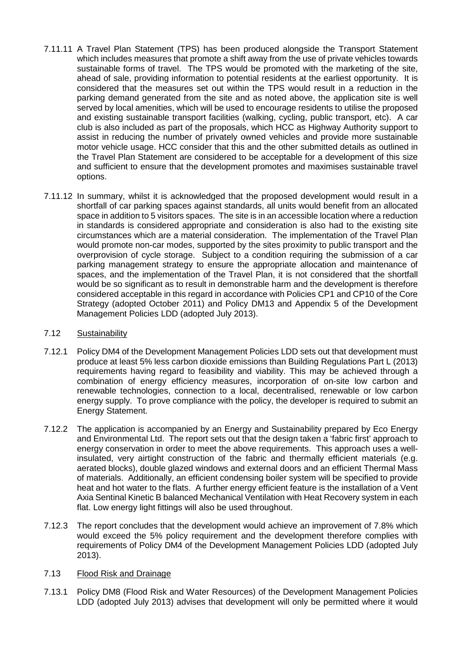- 7.11.11 A Travel Plan Statement (TPS) has been produced alongside the Transport Statement which includes measures that promote a shift away from the use of private vehicles towards sustainable forms of travel. The TPS would be promoted with the marketing of the site, ahead of sale, providing information to potential residents at the earliest opportunity. It is considered that the measures set out within the TPS would result in a reduction in the parking demand generated from the site and as noted above, the application site is well served by local amenities, which will be used to encourage residents to utilise the proposed and existing sustainable transport facilities (walking, cycling, public transport, etc). A car club is also included as part of the proposals, which HCC as Highway Authority support to assist in reducing the number of privately owned vehicles and provide more sustainable motor vehicle usage. HCC consider that this and the other submitted details as outlined in the Travel Plan Statement are considered to be acceptable for a development of this size and sufficient to ensure that the development promotes and maximises sustainable travel options.
- 7.11.12 In summary, whilst it is acknowledged that the proposed development would result in a shortfall of car parking spaces against standards, all units would benefit from an allocated space in addition to 5 visitors spaces. The site is in an accessible location where a reduction in standards is considered appropriate and consideration is also had to the existing site circumstances which are a material consideration. The implementation of the Travel Plan would promote non-car modes, supported by the sites proximity to public transport and the overprovision of cycle storage. Subject to a condition requiring the submission of a car parking management strategy to ensure the appropriate allocation and maintenance of spaces, and the implementation of the Travel Plan, it is not considered that the shortfall would be so significant as to result in demonstrable harm and the development is therefore considered acceptable in this regard in accordance with Policies CP1 and CP10 of the Core Strategy (adopted October 2011) and Policy DM13 and Appendix 5 of the Development Management Policies LDD (adopted July 2013).

# 7.12 Sustainability

- 7.12.1 Policy DM4 of the Development Management Policies LDD sets out that development must produce at least 5% less carbon dioxide emissions than Building Regulations Part L (2013) requirements having regard to feasibility and viability. This may be achieved through a combination of energy efficiency measures, incorporation of on-site low carbon and renewable technologies, connection to a local, decentralised, renewable or low carbon energy supply. To prove compliance with the policy, the developer is required to submit an Energy Statement.
- 7.12.2 The application is accompanied by an Energy and Sustainability prepared by Eco Energy and Environmental Ltd. The report sets out that the design taken a 'fabric first' approach to energy conservation in order to meet the above requirements. This approach uses a wellinsulated, very airtight construction of the fabric and thermally efficient materials (e.g. aerated blocks), double glazed windows and external doors and an efficient Thermal Mass of materials. Additionally, an efficient condensing boiler system will be specified to provide heat and hot water to the flats. A further energy efficient feature is the installation of a Vent Axia Sentinal Kinetic B balanced Mechanical Ventilation with Heat Recovery system in each flat. Low energy light fittings will also be used throughout.
- 7.12.3 The report concludes that the development would achieve an improvement of 7.8% which would exceed the 5% policy requirement and the development therefore complies with requirements of Policy DM4 of the Development Management Policies LDD (adopted July 2013).

### 7.13 Flood Risk and Drainage

7.13.1 Policy DM8 (Flood Risk and Water Resources) of the Development Management Policies LDD (adopted July 2013) advises that development will only be permitted where it would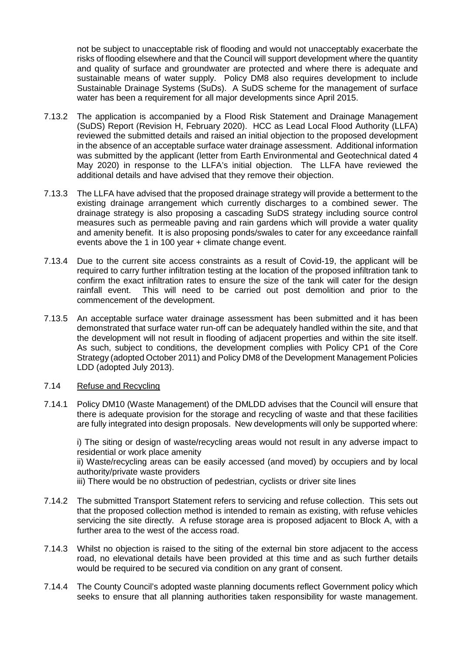not be subject to unacceptable risk of flooding and would not unacceptably exacerbate the risks of flooding elsewhere and that the Council will support development where the quantity and quality of surface and groundwater are protected and where there is adequate and sustainable means of water supply. Policy DM8 also requires development to include Sustainable Drainage Systems (SuDs). A SuDS scheme for the management of surface water has been a requirement for all major developments since April 2015.

- 7.13.2 The application is accompanied by a Flood Risk Statement and Drainage Management (SuDS) Report (Revision H, February 2020). HCC as Lead Local Flood Authority (LLFA) reviewed the submitted details and raised an initial objection to the proposed development in the absence of an acceptable surface water drainage assessment. Additional information was submitted by the applicant (letter from Earth Environmental and Geotechnical dated 4 May 2020) in response to the LLFA's initial objection. The LLFA have reviewed the additional details and have advised that they remove their objection.
- 7.13.3 The LLFA have advised that the proposed drainage strategy will provide a betterment to the existing drainage arrangement which currently discharges to a combined sewer. The drainage strategy is also proposing a cascading SuDS strategy including source control measures such as permeable paving and rain gardens which will provide a water quality and amenity benefit. It is also proposing ponds/swales to cater for any exceedance rainfall events above the 1 in 100 year + climate change event.
- 7.13.4 Due to the current site access constraints as a result of Covid-19, the applicant will be required to carry further infiltration testing at the location of the proposed infiltration tank to confirm the exact infiltration rates to ensure the size of the tank will cater for the design rainfall event. This will need to be carried out post demolition and prior to the commencement of the development.
- 7.13.5 An acceptable surface water drainage assessment has been submitted and it has been demonstrated that surface water run-off can be adequately handled within the site, and that the development will not result in flooding of adjacent properties and within the site itself. As such, subject to conditions, the development complies with Policy CP1 of the Core Strategy (adopted October 2011) and Policy DM8 of the Development Management Policies LDD (adopted July 2013).

# 7.14 Refuse and Recycling

7.14.1 Policy DM10 (Waste Management) of the DMLDD advises that the Council will ensure that there is adequate provision for the storage and recycling of waste and that these facilities are fully integrated into design proposals. New developments will only be supported where:

i) The siting or design of waste/recycling areas would not result in any adverse impact to residential or work place amenity

ii) Waste/recycling areas can be easily accessed (and moved) by occupiers and by local authority/private waste providers

iii) There would be no obstruction of pedestrian, cyclists or driver site lines

- 7.14.2 The submitted Transport Statement refers to servicing and refuse collection. This sets out that the proposed collection method is intended to remain as existing, with refuse vehicles servicing the site directly. A refuse storage area is proposed adjacent to Block A, with a further area to the west of the access road.
- 7.14.3 Whilst no objection is raised to the siting of the external bin store adjacent to the access road, no elevational details have been provided at this time and as such further details would be required to be secured via condition on any grant of consent.
- 7.14.4 The County Council's adopted waste planning documents reflect Government policy which seeks to ensure that all planning authorities taken responsibility for waste management.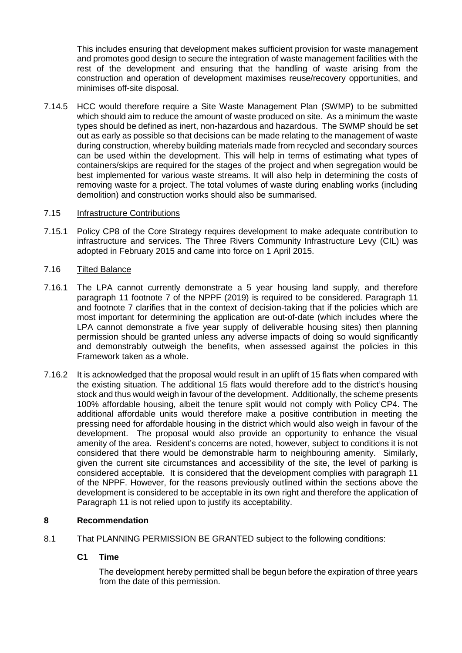This includes ensuring that development makes sufficient provision for waste management and promotes good design to secure the integration of waste management facilities with the rest of the development and ensuring that the handling of waste arising from the construction and operation of development maximises reuse/recovery opportunities, and minimises off-site disposal.

7.14.5 HCC would therefore require a Site Waste Management Plan (SWMP) to be submitted which should aim to reduce the amount of waste produced on site. As a minimum the waste types should be defined as inert, non-hazardous and hazardous. The SWMP should be set out as early as possible so that decisions can be made relating to the management of waste during construction, whereby building materials made from recycled and secondary sources can be used within the development. This will help in terms of estimating what types of containers/skips are required for the stages of the project and when segregation would be best implemented for various waste streams. It will also help in determining the costs of removing waste for a project. The total volumes of waste during enabling works (including demolition) and construction works should also be summarised.

## 7.15 Infrastructure Contributions

7.15.1 Policy CP8 of the Core Strategy requires development to make adequate contribution to infrastructure and services. The Three Rivers Community Infrastructure Levy (CIL) was adopted in February 2015 and came into force on 1 April 2015.

# 7.16 Tilted Balance

- 7.16.1 The LPA cannot currently demonstrate a 5 year housing land supply, and therefore paragraph 11 footnote 7 of the NPPF (2019) is required to be considered. Paragraph 11 and footnote 7 clarifies that in the context of decision-taking that if the policies which are most important for determining the application are out-of-date (which includes where the LPA cannot demonstrate a five year supply of deliverable housing sites) then planning permission should be granted unless any adverse impacts of doing so would significantly and demonstrably outweigh the benefits, when assessed against the policies in this Framework taken as a whole.
- 7.16.2 It is acknowledged that the proposal would result in an uplift of 15 flats when compared with the existing situation. The additional 15 flats would therefore add to the district's housing stock and thus would weigh in favour of the development. Additionally, the scheme presents 100% affordable housing, albeit the tenure split would not comply with Policy CP4. The additional affordable units would therefore make a positive contribution in meeting the pressing need for affordable housing in the district which would also weigh in favour of the development. The proposal would also provide an opportunity to enhance the visual amenity of the area. Resident's concerns are noted, however, subject to conditions it is not considered that there would be demonstrable harm to neighbouring amenity. Similarly, given the current site circumstances and accessibility of the site, the level of parking is considered acceptable. It is considered that the development complies with paragraph 11 of the NPPF. However, for the reasons previously outlined within the sections above the development is considered to be acceptable in its own right and therefore the application of Paragraph 11 is not relied upon to justify its acceptability.

### **8 Recommendation**

8.1 That PLANNING PERMISSION BE GRANTED subject to the following conditions:

# **C1 Time**

The development hereby permitted shall be begun before the expiration of three years from the date of this permission.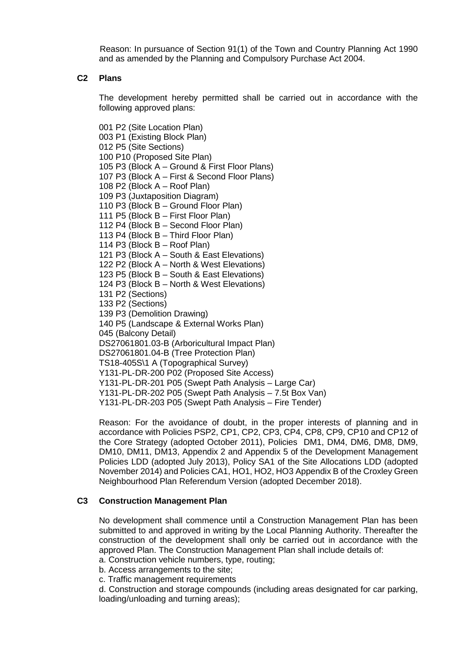Reason: In pursuance of Section 91(1) of the Town and Country Planning Act 1990 and as amended by the Planning and Compulsory Purchase Act 2004.

## **C2 Plans**

The development hereby permitted shall be carried out in accordance with the following approved plans:

001 P2 (Site Location Plan) 003 P1 (Existing Block Plan) 012 P5 (Site Sections) 100 P10 (Proposed Site Plan) 105 P3 (Block A – Ground & First Floor Plans) 107 P3 (Block A – First & Second Floor Plans) 108 P2 (Block A – Roof Plan) 109 P3 (Juxtaposition Diagram) 110 P3 (Block B – Ground Floor Plan) 111 P5 (Block B – First Floor Plan) 112 P4 (Block B – Second Floor Plan) 113 P4 (Block B – Third Floor Plan) 114 P3 (Block B – Roof Plan) 121 P3 (Block A – South & East Elevations) 122 P2 (Block A – North & West Elevations) 123 P5 (Block B – South & East Elevations) 124 P3 (Block B – North & West Elevations) 131 P2 (Sections) 133 P2 (Sections) 139 P3 (Demolition Drawing) 140 P5 (Landscape & External Works Plan) 045 (Balcony Detail) DS27061801.03-B (Arboricultural Impact Plan) DS27061801.04-B (Tree Protection Plan) TS18-405S\1 A (Topographical Survey) Y131‐PL‐DR‐200 P02 (Proposed Site Access) Y131‐PL‐DR‐201 P05 (Swept Path Analysis – Large Car) Y131‐PL‐DR‐202 P05 (Swept Path Analysis – 7.5t Box Van) Y131‐PL‐DR‐203 P05 (Swept Path Analysis – Fire Tender)

Reason: For the avoidance of doubt, in the proper interests of planning and in accordance with Policies PSP2, CP1, CP2, CP3, CP4, CP8, CP9, CP10 and CP12 of the Core Strategy (adopted October 2011), Policies DM1, DM4, DM6, DM8, DM9, DM10, DM11, DM13, Appendix 2 and Appendix 5 of the Development Management Policies LDD (adopted July 2013), Policy SA1 of the Site Allocations LDD (adopted November 2014) and Policies CA1, HO1, HO2, HO3 Appendix B of the Croxley Green Neighbourhood Plan Referendum Version (adopted December 2018).

### **C3 Construction Management Plan**

No development shall commence until a Construction Management Plan has been submitted to and approved in writing by the Local Planning Authority. Thereafter the construction of the development shall only be carried out in accordance with the approved Plan. The Construction Management Plan shall include details of:

a. Construction vehicle numbers, type, routing;

b. Access arrangements to the site;

c. Traffic management requirements

d. Construction and storage compounds (including areas designated for car parking, loading/unloading and turning areas);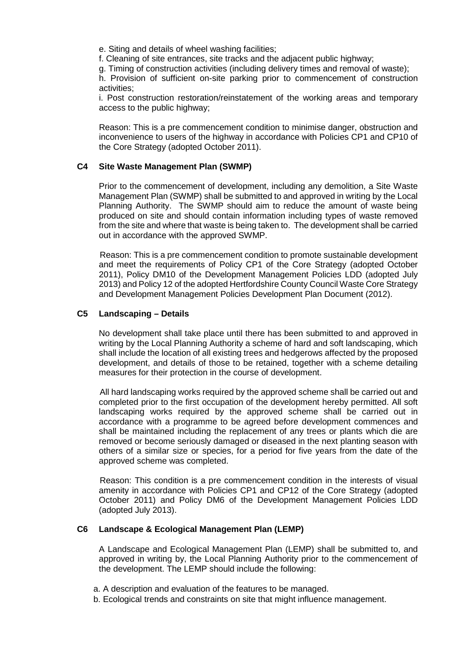e. Siting and details of wheel washing facilities;

f. Cleaning of site entrances, site tracks and the adjacent public highway;

g. Timing of construction activities (including delivery times and removal of waste);

h. Provision of sufficient on-site parking prior to commencement of construction activities;

i. Post construction restoration/reinstatement of the working areas and temporary access to the public highway;

Reason: This is a pre commencement condition to minimise danger, obstruction and inconvenience to users of the highway in accordance with Policies CP1 and CP10 of the Core Strategy (adopted October 2011).

## **C4 Site Waste Management Plan (SWMP)**

Prior to the commencement of development, including any demolition, a Site Waste Management Plan (SWMP) shall be submitted to and approved in writing by the Local Planning Authority. The SWMP should aim to reduce the amount of waste being produced on site and should contain information including types of waste removed from the site and where that waste is being taken to. The development shall be carried out in accordance with the approved SWMP.

Reason: This is a pre commencement condition to promote sustainable development and meet the requirements of Policy CP1 of the Core Strategy (adopted October 2011), Policy DM10 of the Development Management Policies LDD (adopted July 2013) and Policy 12 of the adopted Hertfordshire County Council Waste Core Strategy and Development Management Policies Development Plan Document (2012).

## **C5 Landscaping – Details**

No development shall take place until there has been submitted to and approved in writing by the Local Planning Authority a scheme of hard and soft landscaping, which shall include the location of all existing trees and hedgerows affected by the proposed development, and details of those to be retained, together with a scheme detailing measures for their protection in the course of development.

All hard landscaping works required by the approved scheme shall be carried out and completed prior to the first occupation of the development hereby permitted. All soft landscaping works required by the approved scheme shall be carried out in accordance with a programme to be agreed before development commences and shall be maintained including the replacement of any trees or plants which die are removed or become seriously damaged or diseased in the next planting season with others of a similar size or species, for a period for five years from the date of the approved scheme was completed.

Reason: This condition is a pre commencement condition in the interests of visual amenity in accordance with Policies CP1 and CP12 of the Core Strategy (adopted October 2011) and Policy DM6 of the Development Management Policies LDD (adopted July 2013).

### **C6 Landscape & Ecological Management Plan (LEMP)**

A Landscape and Ecological Management Plan (LEMP) shall be submitted to, and approved in writing by, the Local Planning Authority prior to the commencement of the development. The LEMP should include the following:

- a. A description and evaluation of the features to be managed.
- b. Ecological trends and constraints on site that might influence management.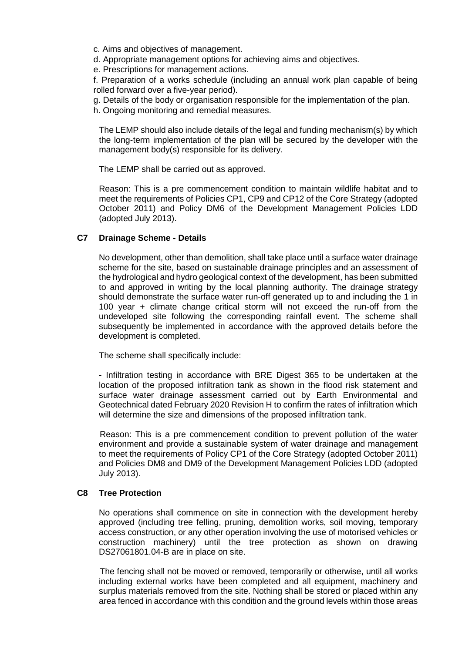- c. Aims and objectives of management.
- d. Appropriate management options for achieving aims and objectives.
- e. Prescriptions for management actions.

f. Preparation of a works schedule (including an annual work plan capable of being rolled forward over a five-year period).

- g. Details of the body or organisation responsible for the implementation of the plan.
- h. Ongoing monitoring and remedial measures.

The LEMP should also include details of the legal and funding mechanism(s) by which the long-term implementation of the plan will be secured by the developer with the management body(s) responsible for its delivery.

The LEMP shall be carried out as approved.

Reason: This is a pre commencement condition to maintain wildlife habitat and to meet the requirements of Policies CP1, CP9 and CP12 of the Core Strategy (adopted October 2011) and Policy DM6 of the Development Management Policies LDD (adopted July 2013).

# **C7 Drainage Scheme - Details**

No development, other than demolition, shall take place until a surface water drainage scheme for the site, based on sustainable drainage principles and an assessment of the hydrological and hydro geological context of the development, has been submitted to and approved in writing by the local planning authority. The drainage strategy should demonstrate the surface water run-off generated up to and including the 1 in 100 year + climate change critical storm will not exceed the run-off from the undeveloped site following the corresponding rainfall event. The scheme shall subsequently be implemented in accordance with the approved details before the development is completed.

The scheme shall specifically include:

- Infiltration testing in accordance with BRE Digest 365 to be undertaken at the location of the proposed infiltration tank as shown in the flood risk statement and surface water drainage assessment carried out by Earth Environmental and Geotechnical dated February 2020 Revision H to confirm the rates of infiltration which will determine the size and dimensions of the proposed infiltration tank.

Reason: This is a pre commencement condition to prevent pollution of the water environment and provide a sustainable system of water drainage and management to meet the requirements of Policy CP1 of the Core Strategy (adopted October 2011) and Policies DM8 and DM9 of the Development Management Policies LDD (adopted July 2013).

### **C8 Tree Protection**

No operations shall commence on site in connection with the development hereby approved (including tree felling, pruning, demolition works, soil moving, temporary access construction, or any other operation involving the use of motorised vehicles or construction machinery) until the tree protection as shown on drawing DS27061801.04-B are in place on site.

The fencing shall not be moved or removed, temporarily or otherwise, until all works including external works have been completed and all equipment, machinery and surplus materials removed from the site. Nothing shall be stored or placed within any area fenced in accordance with this condition and the ground levels within those areas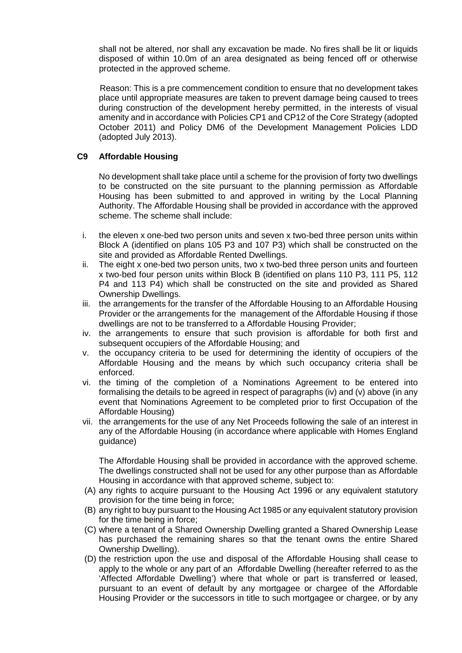shall not be altered, nor shall any excavation be made. No fires shall be lit or liquids disposed of within 10.0m of an area designated as being fenced off or otherwise protected in the approved scheme.

Reason: This is a pre commencement condition to ensure that no development takes place until appropriate measures are taken to prevent damage being caused to trees during construction of the development hereby permitted, in the interests of visual amenity and in accordance with Policies CP1 and CP12 of the Core Strategy (adopted October 2011) and Policy DM6 of the Development Management Policies LDD (adopted July 2013).

# **C9 Affordable Housing**

No development shall take place until a scheme for the provision of forty two dwellings to be constructed on the site pursuant to the planning permission as Affordable Housing has been submitted to and approved in writing by the Local Planning Authority. The Affordable Housing shall be provided in accordance with the approved scheme. The scheme shall include:

- i. the eleven x one-bed two person units and seven x two-bed three person units within Block A (identified on plans 105 P3 and 107 P3) which shall be constructed on the site and provided as Affordable Rented Dwellings.
- ii. The eight x one-bed two person units, two x two-bed three person units and fourteen x two-bed four person units within Block B (identified on plans 110 P3, 111 P5, 112 P4 and 113 P4) which shall be constructed on the site and provided as Shared Ownership Dwellings.
- iii. the arrangements for the transfer of the Affordable Housing to an Affordable Housing Provider or the arrangements for the management of the Affordable Housing if those dwellings are not to be transferred to a Affordable Housing Provider;
- iv. the arrangements to ensure that such provision is affordable for both first and subsequent occupiers of the Affordable Housing; and
- v. the occupancy criteria to be used for determining the identity of occupiers of the Affordable Housing and the means by which such occupancy criteria shall be enforced.
- vi. the timing of the completion of a Nominations Agreement to be entered into formalising the details to be agreed in respect of paragraphs (iv) and (v) above (in any event that Nominations Agreement to be completed prior to first Occupation of the Affordable Housing)
- vii. the arrangements for the use of any Net Proceeds following the sale of an interest in any of the Affordable Housing (in accordance where applicable with Homes England guidance)

The Affordable Housing shall be provided in accordance with the approved scheme. The dwellings constructed shall not be used for any other purpose than as Affordable Housing in accordance with that approved scheme, subject to:

- (A) any rights to acquire pursuant to the Housing Act 1996 or any equivalent statutory provision for the time being in force;
- (B) any right to buy pursuant to the Housing Act 1985 or any equivalent statutory provision for the time being in force;
- (C) where a tenant of a Shared Ownership Dwelling granted a Shared Ownership Lease has purchased the remaining shares so that the tenant owns the entire Shared Ownership Dwelling).
- (D) the restriction upon the use and disposal of the Affordable Housing shall cease to apply to the whole or any part of an Affordable Dwelling (hereafter referred to as the 'Affected Affordable Dwelling') where that whole or part is transferred or leased, pursuant to an event of default by any mortgagee or chargee of the Affordable Housing Provider or the successors in title to such mortgagee or chargee, or by any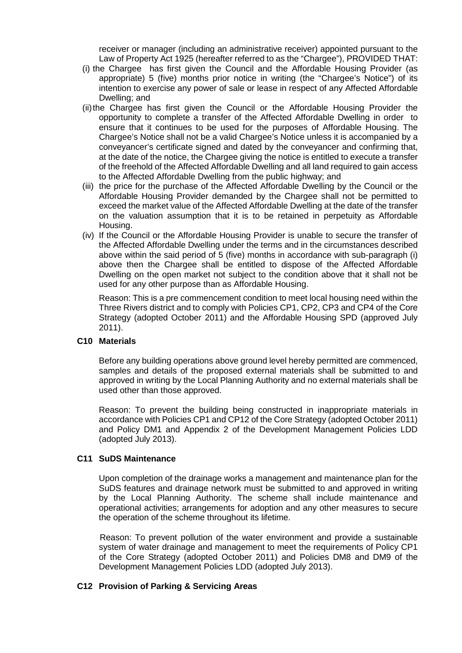receiver or manager (including an administrative receiver) appointed pursuant to the Law of Property Act 1925 (hereafter referred to as the "Chargee"), PROVIDED THAT:

- (i) the Chargee has first given the Council and the Affordable Housing Provider (as appropriate) 5 (five) months prior notice in writing (the "Chargee's Notice") of its intention to exercise any power of sale or lease in respect of any Affected Affordable Dwelling; and
- (ii)the Chargee has first given the Council or the Affordable Housing Provider the opportunity to complete a transfer of the Affected Affordable Dwelling in order to ensure that it continues to be used for the purposes of Affordable Housing. The Chargee's Notice shall not be a valid Chargee's Notice unless it is accompanied by a conveyancer's certificate signed and dated by the conveyancer and confirming that, at the date of the notice, the Chargee giving the notice is entitled to execute a transfer of the freehold of the Affected Affordable Dwelling and all land required to gain access to the Affected Affordable Dwelling from the public highway; and
- (iii) the price for the purchase of the Affected Affordable Dwelling by the Council or the Affordable Housing Provider demanded by the Chargee shall not be permitted to exceed the market value of the Affected Affordable Dwelling at the date of the transfer on the valuation assumption that it is to be retained in perpetuity as Affordable Housing.
- (iv) If the Council or the Affordable Housing Provider is unable to secure the transfer of the Affected Affordable Dwelling under the terms and in the circumstances described above within the said period of 5 (five) months in accordance with sub-paragraph (i) above then the Chargee shall be entitled to dispose of the Affected Affordable Dwelling on the open market not subject to the condition above that it shall not be used for any other purpose than as Affordable Housing.

Reason: This is a pre commencement condition to meet local housing need within the Three Rivers district and to comply with Policies CP1, CP2, CP3 and CP4 of the Core Strategy (adopted October 2011) and the Affordable Housing SPD (approved July 2011).

### **C10 Materials**

Before any building operations above ground level hereby permitted are commenced, samples and details of the proposed external materials shall be submitted to and approved in writing by the Local Planning Authority and no external materials shall be used other than those approved.

Reason: To prevent the building being constructed in inappropriate materials in accordance with Policies CP1 and CP12 of the Core Strategy (adopted October 2011) and Policy DM1 and Appendix 2 of the Development Management Policies LDD (adopted July 2013).

# **C11 SuDS Maintenance**

Upon completion of the drainage works a management and maintenance plan for the SuDS features and drainage network must be submitted to and approved in writing by the Local Planning Authority. The scheme shall include maintenance and operational activities; arrangements for adoption and any other measures to secure the operation of the scheme throughout its lifetime.

Reason: To prevent pollution of the water environment and provide a sustainable system of water drainage and management to meet the requirements of Policy CP1 of the Core Strategy (adopted October 2011) and Policies DM8 and DM9 of the Development Management Policies LDD (adopted July 2013).

# **C12 Provision of Parking & Servicing Areas**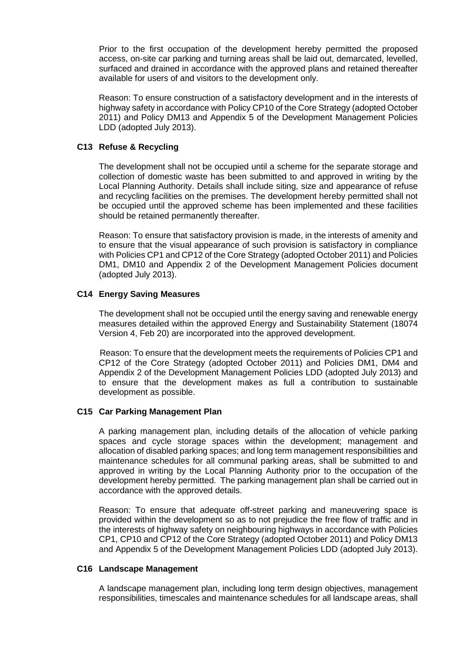Prior to the first occupation of the development hereby permitted the proposed access, on-site car parking and turning areas shall be laid out, demarcated, levelled, surfaced and drained in accordance with the approved plans and retained thereafter available for users of and visitors to the development only.

Reason: To ensure construction of a satisfactory development and in the interests of highway safety in accordance with Policy CP10 of the Core Strategy (adopted October 2011) and Policy DM13 and Appendix 5 of the Development Management Policies LDD (adopted July 2013).

# **C13 Refuse & Recycling**

The development shall not be occupied until a scheme for the separate storage and collection of domestic waste has been submitted to and approved in writing by the Local Planning Authority. Details shall include siting, size and appearance of refuse and recycling facilities on the premises. The development hereby permitted shall not be occupied until the approved scheme has been implemented and these facilities should be retained permanently thereafter.

Reason: To ensure that satisfactory provision is made, in the interests of amenity and to ensure that the visual appearance of such provision is satisfactory in compliance with Policies CP1 and CP12 of the Core Strategy (adopted October 2011) and Policies DM1, DM10 and Appendix 2 of the Development Management Policies document (adopted July 2013).

# **C14 Energy Saving Measures**

The development shall not be occupied until the energy saving and renewable energy measures detailed within the approved Energy and Sustainability Statement (18074 Version 4, Feb 20) are incorporated into the approved development.

Reason: To ensure that the development meets the requirements of Policies CP1 and CP12 of the Core Strategy (adopted October 2011) and Policies DM1, DM4 and Appendix 2 of the Development Management Policies LDD (adopted July 2013) and to ensure that the development makes as full a contribution to sustainable development as possible.

### **C15 Car Parking Management Plan**

A parking management plan, including details of the allocation of vehicle parking spaces and cycle storage spaces within the development; management and allocation of disabled parking spaces; and long term management responsibilities and maintenance schedules for all communal parking areas, shall be submitted to and approved in writing by the Local Planning Authority prior to the occupation of the development hereby permitted. The parking management plan shall be carried out in accordance with the approved details.

Reason: To ensure that adequate off-street parking and maneuvering space is provided within the development so as to not prejudice the free flow of traffic and in the interests of highway safety on neighbouring highways in accordance with Policies CP1, CP10 and CP12 of the Core Strategy (adopted October 2011) and Policy DM13 and Appendix 5 of the Development Management Policies LDD (adopted July 2013).

### **C16 Landscape Management**

A landscape management plan, including long term design objectives, management responsibilities, timescales and maintenance schedules for all landscape areas, shall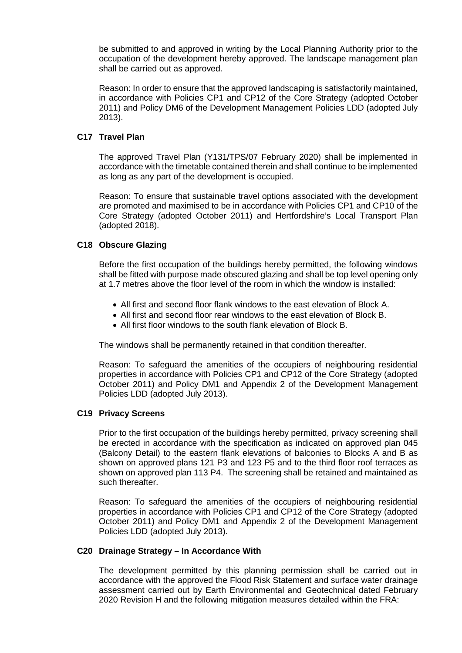be submitted to and approved in writing by the Local Planning Authority prior to the occupation of the development hereby approved. The landscape management plan shall be carried out as approved.

Reason: In order to ensure that the approved landscaping is satisfactorily maintained, in accordance with Policies CP1 and CP12 of the Core Strategy (adopted October 2011) and Policy DM6 of the Development Management Policies LDD (adopted July 2013).

# **C17 Travel Plan**

The approved Travel Plan (Y131/TPS/07 February 2020) shall be implemented in accordance with the timetable contained therein and shall continue to be implemented as long as any part of the development is occupied.

Reason: To ensure that sustainable travel options associated with the development are promoted and maximised to be in accordance with Policies CP1 and CP10 of the Core Strategy (adopted October 2011) and Hertfordshire's Local Transport Plan (adopted 2018).

## **C18 Obscure Glazing**

Before the first occupation of the buildings hereby permitted, the following windows shall be fitted with purpose made obscured glazing and shall be top level opening only at 1.7 metres above the floor level of the room in which the window is installed:

- All first and second floor flank windows to the east elevation of Block A.
- All first and second floor rear windows to the east elevation of Block B.
- All first floor windows to the south flank elevation of Block B.

The windows shall be permanently retained in that condition thereafter.

Reason: To safeguard the amenities of the occupiers of neighbouring residential properties in accordance with Policies CP1 and CP12 of the Core Strategy (adopted October 2011) and Policy DM1 and Appendix 2 of the Development Management Policies LDD (adopted July 2013).

### **C19 Privacy Screens**

Prior to the first occupation of the buildings hereby permitted, privacy screening shall be erected in accordance with the specification as indicated on approved plan 045 (Balcony Detail) to the eastern flank elevations of balconies to Blocks A and B as shown on approved plans 121 P3 and 123 P5 and to the third floor roof terraces as shown on approved plan 113 P4. The screening shall be retained and maintained as such thereafter.

Reason: To safeguard the amenities of the occupiers of neighbouring residential properties in accordance with Policies CP1 and CP12 of the Core Strategy (adopted October 2011) and Policy DM1 and Appendix 2 of the Development Management Policies LDD (adopted July 2013).

### **C20 Drainage Strategy – In Accordance With**

The development permitted by this planning permission shall be carried out in accordance with the approved the Flood Risk Statement and surface water drainage assessment carried out by Earth Environmental and Geotechnical dated February 2020 Revision H and the following mitigation measures detailed within the FRA: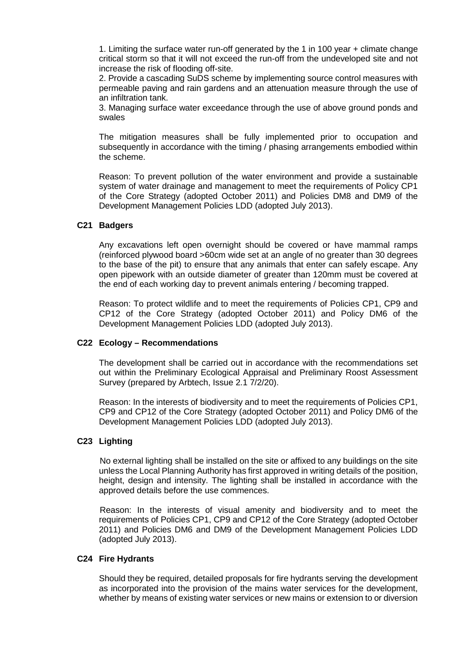1. Limiting the surface water run-off generated by the 1 in 100 year + climate change critical storm so that it will not exceed the run-off from the undeveloped site and not increase the risk of flooding off-site.

2. Provide a cascading SuDS scheme by implementing source control measures with permeable paving and rain gardens and an attenuation measure through the use of an infiltration tank.

3. Managing surface water exceedance through the use of above ground ponds and swales

The mitigation measures shall be fully implemented prior to occupation and subsequently in accordance with the timing / phasing arrangements embodied within the scheme.

Reason: To prevent pollution of the water environment and provide a sustainable system of water drainage and management to meet the requirements of Policy CP1 of the Core Strategy (adopted October 2011) and Policies DM8 and DM9 of the Development Management Policies LDD (adopted July 2013).

# **C21 Badgers**

Any excavations left open overnight should be covered or have mammal ramps (reinforced plywood board >60cm wide set at an angle of no greater than 30 degrees to the base of the pit) to ensure that any animals that enter can safely escape. Any open pipework with an outside diameter of greater than 120mm must be covered at the end of each working day to prevent animals entering / becoming trapped.

Reason: To protect wildlife and to meet the requirements of Policies CP1, CP9 and CP12 of the Core Strategy (adopted October 2011) and Policy DM6 of the Development Management Policies LDD (adopted July 2013).

### **C22 Ecology – Recommendations**

The development shall be carried out in accordance with the recommendations set out within the Preliminary Ecological Appraisal and Preliminary Roost Assessment Survey (prepared by Arbtech, Issue 2.1 7/2/20).

Reason: In the interests of biodiversity and to meet the requirements of Policies CP1, CP9 and CP12 of the Core Strategy (adopted October 2011) and Policy DM6 of the Development Management Policies LDD (adopted July 2013).

### **C23 Lighting**

No external lighting shall be installed on the site or affixed to any buildings on the site unless the Local Planning Authority has first approved in writing details of the position, height, design and intensity. The lighting shall be installed in accordance with the approved details before the use commences.

Reason: In the interests of visual amenity and biodiversity and to meet the requirements of Policies CP1, CP9 and CP12 of the Core Strategy (adopted October 2011) and Policies DM6 and DM9 of the Development Management Policies LDD (adopted July 2013).

### **C24 Fire Hydrants**

Should they be required, detailed proposals for fire hydrants serving the development as incorporated into the provision of the mains water services for the development, whether by means of existing water services or new mains or extension to or diversion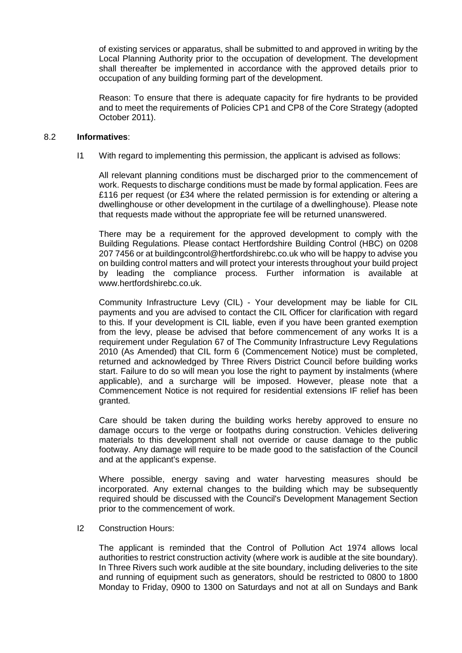of existing services or apparatus, shall be submitted to and approved in writing by the Local Planning Authority prior to the occupation of development. The development shall thereafter be implemented in accordance with the approved details prior to occupation of any building forming part of the development.

Reason: To ensure that there is adequate capacity for fire hydrants to be provided and to meet the requirements of Policies CP1 and CP8 of the Core Strategy (adopted October 2011).

### 8.2 **Informatives**:

I1 With regard to implementing this permission, the applicant is advised as follows:

All relevant planning conditions must be discharged prior to the commencement of work. Requests to discharge conditions must be made by formal application. Fees are £116 per request (or £34 where the related permission is for extending or altering a dwellinghouse or other development in the curtilage of a dwellinghouse). Please note that requests made without the appropriate fee will be returned unanswered.

There may be a requirement for the approved development to comply with the Building Regulations. Please contact Hertfordshire Building Control (HBC) on 0208 207 7456 or at buildingcontrol@hertfordshirebc.co.uk who will be happy to advise you on building control matters and will protect your interests throughout your build project by leading the compliance process. Further information is available at www.hertfordshirebc.co.uk.

Community Infrastructure Levy (CIL) - Your development may be liable for CIL payments and you are advised to contact the CIL Officer for clarification with regard to this. If your development is CIL liable, even if you have been granted exemption from the levy, please be advised that before commencement of any works It is a requirement under Regulation 67 of The Community Infrastructure Levy Regulations 2010 (As Amended) that CIL form 6 (Commencement Notice) must be completed, returned and acknowledged by Three Rivers District Council before building works start. Failure to do so will mean you lose the right to payment by instalments (where applicable), and a surcharge will be imposed. However, please note that a Commencement Notice is not required for residential extensions IF relief has been granted.

Care should be taken during the building works hereby approved to ensure no damage occurs to the verge or footpaths during construction. Vehicles delivering materials to this development shall not override or cause damage to the public footway. Any damage will require to be made good to the satisfaction of the Council and at the applicant's expense.

Where possible, energy saving and water harvesting measures should be incorporated. Any external changes to the building which may be subsequently required should be discussed with the Council's Development Management Section prior to the commencement of work.

I2 Construction Hours:

The applicant is reminded that the Control of Pollution Act 1974 allows local authorities to restrict construction activity (where work is audible at the site boundary). In Three Rivers such work audible at the site boundary, including deliveries to the site and running of equipment such as generators, should be restricted to 0800 to 1800 Monday to Friday, 0900 to 1300 on Saturdays and not at all on Sundays and Bank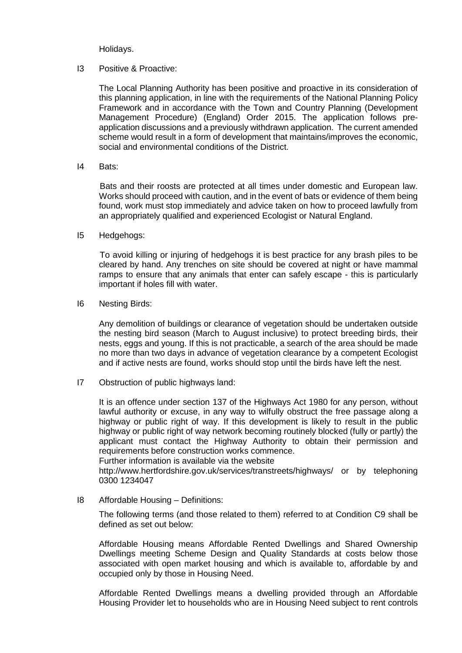Holidays.

I3 Positive & Proactive:

The Local Planning Authority has been positive and proactive in its consideration of this planning application, in line with the requirements of the National Planning Policy Framework and in accordance with the Town and Country Planning (Development Management Procedure) (England) Order 2015. The application follows preapplication discussions and a previously withdrawn application. The current amended scheme would result in a form of development that maintains/improves the economic, social and environmental conditions of the District.

I4 Bats:

Bats and their roosts are protected at all times under domestic and European law. Works should proceed with caution, and in the event of bats or evidence of them being found, work must stop immediately and advice taken on how to proceed lawfully from an appropriately qualified and experienced Ecologist or Natural England.

I5 Hedgehogs:

To avoid killing or injuring of hedgehogs it is best practice for any brash piles to be cleared by hand. Any trenches on site should be covered at night or have mammal ramps to ensure that any animals that enter can safely escape - this is particularly important if holes fill with water.

I6 Nesting Birds:

Any demolition of buildings or clearance of vegetation should be undertaken outside the nesting bird season (March to August inclusive) to protect breeding birds, their nests, eggs and young. If this is not practicable, a search of the area should be made no more than two days in advance of vegetation clearance by a competent Ecologist and if active nests are found, works should stop until the birds have left the nest.

I7 Obstruction of public highways land:

It is an offence under section 137 of the Highways Act 1980 for any person, without lawful authority or excuse, in any way to wilfully obstruct the free passage along a highway or public right of way. If this development is likely to result in the public highway or public right of way network becoming routinely blocked (fully or partly) the applicant must contact the Highway Authority to obtain their permission and requirements before construction works commence.

Further information is available via the website

http://www.hertfordshire.gov.uk/services/transtreets/highways/ or by telephoning 0300 1234047

I8 Affordable Housing – Definitions:

The following terms (and those related to them) referred to at Condition C9 shall be defined as set out below:

Affordable Housing means Affordable Rented Dwellings and Shared Ownership Dwellings meeting Scheme Design and Quality Standards at costs below those associated with open market housing and which is available to, affordable by and occupied only by those in Housing Need.

Affordable Rented Dwellings means a dwelling provided through an Affordable Housing Provider let to households who are in Housing Need subject to rent controls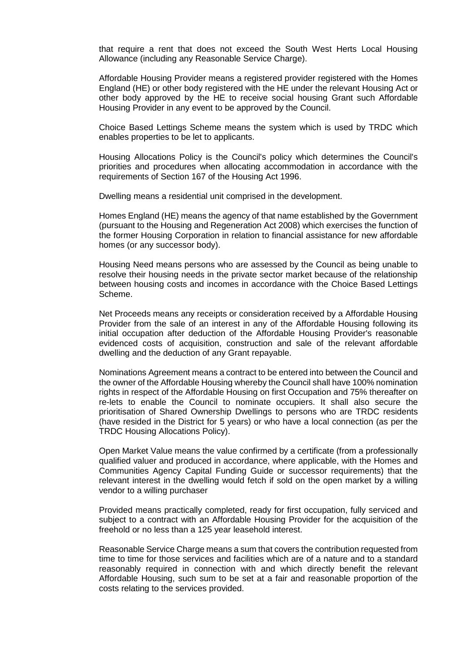that require a rent that does not exceed the South West Herts Local Housing Allowance (including any Reasonable Service Charge).

Affordable Housing Provider means a registered provider registered with the Homes England (HE) or other body registered with the HE under the relevant Housing Act or other body approved by the HE to receive social housing Grant such Affordable Housing Provider in any event to be approved by the Council.

Choice Based Lettings Scheme means the system which is used by TRDC which enables properties to be let to applicants.

Housing Allocations Policy is the Council's policy which determines the Council's priorities and procedures when allocating accommodation in accordance with the requirements of Section 167 of the Housing Act 1996.

Dwelling means a residential unit comprised in the development.

Homes England (HE) means the agency of that name established by the Government (pursuant to the Housing and Regeneration Act 2008) which exercises the function of the former Housing Corporation in relation to financial assistance for new affordable homes (or any successor body).

Housing Need means persons who are assessed by the Council as being unable to resolve their housing needs in the private sector market because of the relationship between housing costs and incomes in accordance with the Choice Based Lettings Scheme.

Net Proceeds means any receipts or consideration received by a Affordable Housing Provider from the sale of an interest in any of the Affordable Housing following its initial occupation after deduction of the Affordable Housing Provider's reasonable evidenced costs of acquisition, construction and sale of the relevant affordable dwelling and the deduction of any Grant repayable.

Nominations Agreement means a contract to be entered into between the Council and the owner of the Affordable Housing whereby the Council shall have 100% nomination rights in respect of the Affordable Housing on first Occupation and 75% thereafter on re-lets to enable the Council to nominate occupiers. It shall also secure the prioritisation of Shared Ownership Dwellings to persons who are TRDC residents (have resided in the District for 5 years) or who have a local connection (as per the TRDC Housing Allocations Policy).

Open Market Value means the value confirmed by a certificate (from a professionally qualified valuer and produced in accordance, where applicable, with the Homes and Communities Agency Capital Funding Guide or successor requirements) that the relevant interest in the dwelling would fetch if sold on the open market by a willing vendor to a willing purchaser

Provided means practically completed, ready for first occupation, fully serviced and subject to a contract with an Affordable Housing Provider for the acquisition of the freehold or no less than a 125 year leasehold interest.

Reasonable Service Charge means a sum that covers the contribution requested from time to time for those services and facilities which are of a nature and to a standard reasonably required in connection with and which directly benefit the relevant Affordable Housing, such sum to be set at a fair and reasonable proportion of the costs relating to the services provided.